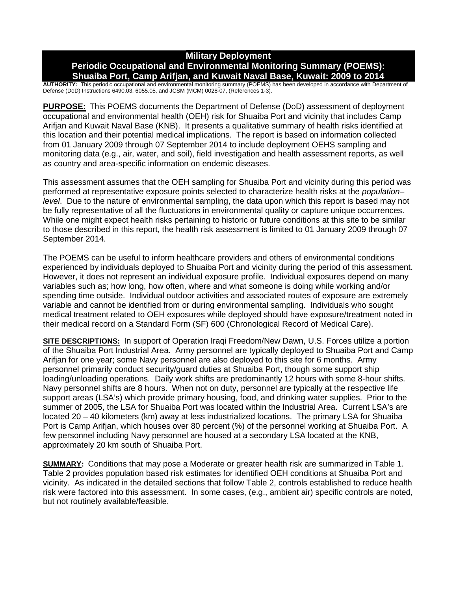## **Military Deployment Periodic Occupational and Environmental Monitoring Summary (POEMS): Shuaiba Port, Camp Arifjan, and Kuwait Naval Base, Kuwait: 2009 to 2014**

**AUTHORITY:** This periodic occupational and environmental monitoring summary (POEMS) has been developed in accordance with Department of Defense (DoD) Instructions 6490.03, 6055.05, and JCSM (MCM) 0028-07, (References 1-3).

**PURPOSE:** This POEMS documents the Department of Defense (DoD) assessment of deployment occupational and environmental health (OEH) risk for Shuaiba Port and vicinity that includes Camp Arifjan and Kuwait Naval Base (KNB). It presents a qualitative summary of health risks identified at this location and their potential medical implications. The report is based on information collected from 01 January 2009 through 07 September 2014 to include deployment OEHS sampling and monitoring data (e.g., air, water, and soil), field investigation and health assessment reports, as well as country and area-specific information on endemic diseases.

This assessment assumes that the OEH sampling for Shuaiba Port and vicinity during this period was performed at representative exposure points selected to characterize health risks at the *population– level*. Due to the nature of environmental sampling, the data upon which this report is based may not be fully representative of all the fluctuations in environmental quality or capture unique occurrences. While one might expect health risks pertaining to historic or future conditions at this site to be similar to those described in this report, the health risk assessment is limited to 01 January 2009 through 07 September 2014.

The POEMS can be useful to inform healthcare providers and others of environmental conditions experienced by individuals deployed to Shuaiba Port and vicinity during the period of this assessment. However, it does not represent an individual exposure profile. Individual exposures depend on many variables such as; how long, how often, where and what someone is doing while working and/or spending time outside. Individual outdoor activities and associated routes of exposure are extremely variable and cannot be identified from or during environmental sampling. Individuals who sought medical treatment related to OEH exposures while deployed should have exposure/treatment noted in their medical record on a Standard Form (SF) 600 (Chronological Record of Medical Care).

**SITE DESCRIPTIONS:** In support of Operation Iraqi Freedom/New Dawn, U.S. Forces utilize a portion of the Shuaiba Port Industrial Area. Army personnel are typically deployed to Shuaiba Port and Camp Arifjan for one year; some Navy personnel are also deployed to this site for 6 months. Army personnel primarily conduct security/guard duties at Shuaiba Port, though some support ship loading/unloading operations. Daily work shifts are predominantly 12 hours with some 8-hour shifts. Navy personnel shifts are 8 hours. When not on duty, personnel are typically at the respective life support areas (LSA's) which provide primary housing, food, and drinking water supplies. Prior to the summer of 2005, the LSA for Shuaiba Port was located within the Industrial Area. Current LSA's are located 20 – 40 kilometers (km) away at less industrialized locations. The primary LSA for Shuaiba Port is Camp Arifjan, which houses over 80 percent (%) of the personnel working at Shuaiba Port. A few personnel including Navy personnel are housed at a secondary LSA located at the KNB, approximately 20 km south of Shuaiba Port.

**SUMMARY:** Conditions that may pose a Moderate or greater health risk are summarized in Table 1. Table 2 provides population based risk estimates for identified OEH conditions at Shuaiba Port and vicinity. As indicated in the detailed sections that follow Table 2, controls established to reduce health risk were factored into this assessment. In some cases, (e.g., ambient air) specific controls are noted, but not routinely available/feasible.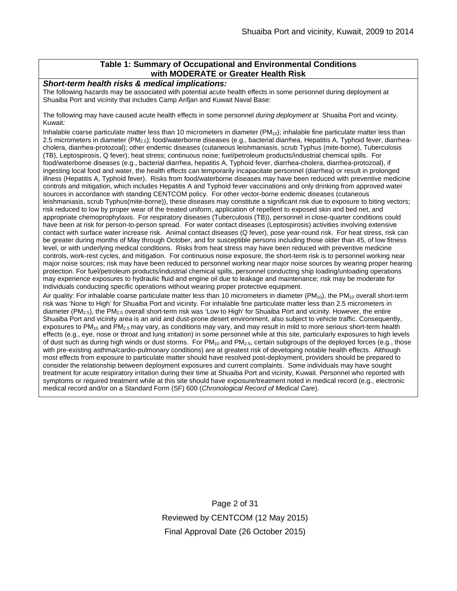## **Table 1: Summary of Occupational and Environmental Conditions with MODERATE or Greater Health Risk**

*Short-term health risks & medical implications:*

The following hazards may be associated with potential acute health effects in some personnel during deployment at Shuaiba Port and vicinity that includes Camp Arifjan and Kuwait Naval Base:

The following may have caused acute health effects in some personnel *during deployment at* Shuaiba Port and vicinity, Kuwait*:* 

Inhalable coarse particulate matter less than 10 micrometers in diameter  $(PM_{10})$ ; inhalable fine particulate matter less than 2.5 micrometers in diameter (PM2.5); food/waterborne diseases (e.g., bacterial diarrhea, Hepatitis A, Typhoid fever, diarrheacholera, diarrhea-protozoal); other endemic diseases (cutaneous leishmaniasis, scrub Typhus (mite-borne), Tuberculosis (TB), Leptospirosis, Q fever); heat stress; continuous noise; fuel/petroleum products/industrial chemical spills. For food/waterborne diseases (e.g., bacterial diarrhea, hepatitis A, Typhoid fever, diarrhea-cholera, diarrhea-protozoal), if ingesting local food and water, the health effects can temporarily incapacitate personnel (diarrhea) or result in prolonged illness (Hepatitis A, Typhoid fever). Risks from food/waterborne diseases may have been reduced with preventive medicine controls and mitigation, which includes Hepatitis A and Typhoid fever vaccinations and only drinking from approved water sources in accordance with standing CENTCOM policy. For other vector-borne endemic diseases (cutaneous leishmaniasis, scrub Typhus(mite-borne)), these diseases may constitute a significant risk due to exposure to biting vectors; risk reduced to low by proper wear of the treated uniform, application of repellent to exposed skin and bed net, and appropriate chemoprophylaxis. For respiratory diseases (Tuberculosis (TB)), personnel in close-quarter conditions could have been at risk for person-to-person spread. For water contact diseases (Leptospirosis) activities involving extensive contact with surface water increase risk. Animal contact diseases (Q fever), pose year-round risk. For heat stress, risk can be greater during months of May through October, and for susceptible persons including those older than 45, of low fitness level, or with underlying medical conditions. Risks from heat stress may have been reduced with preventive medicine controls, work-rest cycles, and mitigation. For continuous noise exposure, the short-term risk is to personnel working near major noise sources; risk may have been reduced to personnel working near major noise sources by wearing proper hearing protection. For fuel/petroleum products/industrial chemical spills, personnel conducting ship loading/unloading operations may experience exposures to hydraulic fluid and engine oil due to leakage and maintenance; risk may be moderate for individuals conducting specific operations without wearing proper protective equipment.

Air quality: For inhalable coarse particulate matter less than 10 micrometers in diameter ( $PM_{10}$ ), the  $PM_{10}$  overall short-term risk was 'None to High' for Shuaiba Port and vicinity. For inhalable fine particulate matter less than 2.5 micrometers in diameter (PM<sub>2.5</sub>), the PM<sub>2.5</sub> overall short-term risk was 'Low to High' for Shuaiba Port and vicinity. However, the entire Shuaiba Port and vicinity area is an arid and dust-prone desert environment, also subject to vehicle traffic. Consequently, exposures to  $PM_{10}$  and  $PM_{2.5}$  may vary, as conditions may vary, and may result in mild to more serious short-term health effects (e.g., eye, nose or throat and lung irritation) in some personnel while at this site, particularly exposures to high levels of dust such as during high winds or dust storms. For  $PM_{10}$  and  $PM_{2.5}$ , certain subgroups of the deployed forces (e.g., those with pre-existing asthma/cardio-pulmonary conditions) are at greatest risk of developing notable health effects. Although most effects from exposure to particulate matter should have resolved post-deployment, providers should be prepared to consider the relationship between deployment exposures and current complaints. Some individuals may have sought treatment for acute respiratory irritation during their time at Shuaiba Port and vicinity, Kuwait. Personnel who reported with symptoms or required treatment while at this site should have exposure/treatment noted in medical record (e.g., electronic medical record and/or on a Standard Form (SF) 600 (*Chronological Record of Medical Care*).

> Page 2 of 31 Reviewed by CENTCOM (12 May 2015) Final Approval Date (26 October 2015)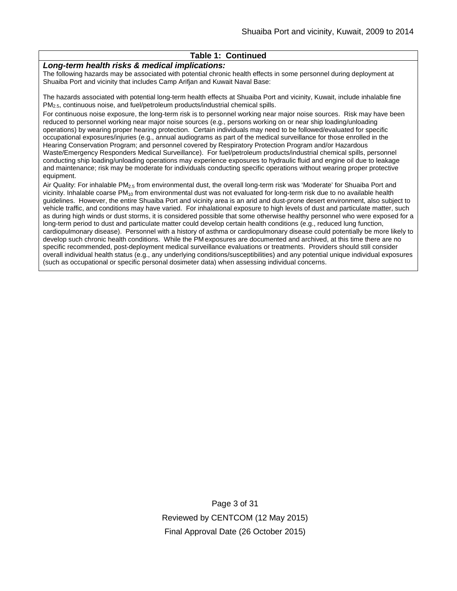### **Table 1: Continued**

#### *Long-term health risks & medical implications:*

The following hazards may be associated with potential chronic health effects in some personnel during deployment at Shuaiba Port and vicinity that includes Camp Arifjan and Kuwait Naval Base:

The hazards associated with potential long-term health effects at Shuaiba Port and vicinity, Kuwait, include inhalable fine PM2.5, continuous noise, and fuel/petroleum products/industrial chemical spills.

For continuous noise exposure, the long-term risk is to personnel working near major noise sources. Risk may have been reduced to personnel working near major noise sources (e.g., persons working on or near ship loading/unloading operations) by wearing proper hearing protection. Certain individuals may need to be followed/evaluated for specific occupational exposures/injuries (e.g., annual audiograms as part of the medical surveillance for those enrolled in the Hearing Conservation Program; and personnel covered by Respiratory Protection Program and/or Hazardous Waste/Emergency Responders Medical Surveillance). For fuel/petroleum products/industrial chemical spills, personnel conducting ship loading/unloading operations may experience exposures to hydraulic fluid and engine oil due to leakage and maintenance; risk may be moderate for individuals conducting specific operations without wearing proper protective equipment.

Air Quality: For inhalable PM2.5 from environmental dust, the overall long-term risk was 'Moderate' for Shuaiba Port and vicinity. Inhalable coarse PM<sub>10</sub> from environmental dust was not evaluated for long-term risk due to no available health guidelines. However, the entire Shuaiba Port and vicinity area is an arid and dust-prone desert environment, also subject to vehicle traffic, and conditions may have varied. For inhalational exposure to high levels of dust and particulate matter, such as during high winds or dust storms, it is considered possible that some otherwise healthy personnel who were exposed for a long-term period to dust and particulate matter could develop certain health conditions (e.g., reduced lung function, cardiopulmonary disease). Personnel with a history of asthma or cardiopulmonary disease could potentially be more likely to develop such chronic health conditions. While the PM exposures are documented and archived, at this time there are no specific recommended, post-deployment medical surveillance evaluations or treatments. Providers should still consider overall individual health status (e.g., any underlying conditions/susceptibilities) and any potential unique individual exposures (such as occupational or specific personal dosimeter data) when assessing individual concerns.

> Page 3 of 31 Reviewed by CENTCOM (12 May 2015) Final Approval Date (26 October 2015)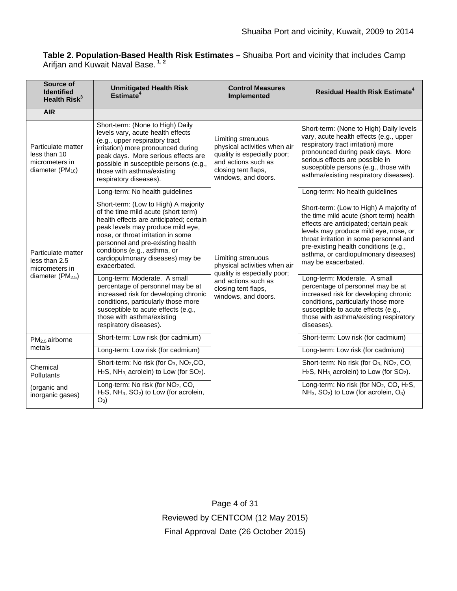**Table 2. Population-Based Health Risk Estimates –** Shuaiba Port and vicinity that includes Camp Arifjan and Kuwait Naval Base. **1, 2**

| Source of<br><b>Identified</b><br>Health Risk <sup>3</sup>                             | <b>Unmitigated Health Risk</b><br>Estimate <sup>4</sup>                                                                                                                                                                                                                                                                    | <b>Control Measures</b><br>Implemented                                                                                                                 | Residual Health Risk Estimate <sup>4</sup>                                                                                                                                                                                                                                                                              |
|----------------------------------------------------------------------------------------|----------------------------------------------------------------------------------------------------------------------------------------------------------------------------------------------------------------------------------------------------------------------------------------------------------------------------|--------------------------------------------------------------------------------------------------------------------------------------------------------|-------------------------------------------------------------------------------------------------------------------------------------------------------------------------------------------------------------------------------------------------------------------------------------------------------------------------|
| <b>AIR</b>                                                                             |                                                                                                                                                                                                                                                                                                                            |                                                                                                                                                        |                                                                                                                                                                                                                                                                                                                         |
| Particulate matter<br>less than 10<br>micrometers in<br>diameter $(PM_{10})$           | Short-term: (None to High) Daily<br>levels vary, acute health effects<br>(e.g., upper respiratory tract<br>irritation) more pronounced during<br>peak days. More serious effects are<br>possible in susceptible persons (e.g.,<br>those with asthma/existing<br>respiratory diseases).                                     | Limiting strenuous<br>physical activities when air<br>quality is especially poor;<br>and actions such as<br>closing tent flaps,<br>windows, and doors. | Short-term: (None to High) Daily levels<br>vary, acute health effects (e.g., upper<br>respiratory tract irritation) more<br>pronounced during peak days. More<br>serious effects are possible in<br>susceptible persons (e.g., those with<br>asthma/existing respiratory diseases).                                     |
|                                                                                        | Long-term: No health guidelines                                                                                                                                                                                                                                                                                            |                                                                                                                                                        | Long-term: No health guidelines                                                                                                                                                                                                                                                                                         |
| Particulate matter<br>less than 2.5<br>micrometers in<br>diameter (PM <sub>2.5</sub> ) | Short-term: (Low to High) A majority<br>of the time mild acute (short term)<br>health effects are anticipated; certain<br>peak levels may produce mild eye,<br>nose, or throat irritation in some<br>personnel and pre-existing health<br>conditions (e.g., asthma, or<br>cardiopulmonary diseases) may be<br>exacerbated. | Limiting strenuous<br>physical activities when air<br>quality is especially poor;                                                                      | Short-term: (Low to High) A majority of<br>the time mild acute (short term) health<br>effects are anticipated; certain peak<br>levels may produce mild eye, nose, or<br>throat irritation in some personnel and<br>pre-existing health conditions (e.g.,<br>asthma, or cardiopulmonary diseases)<br>may be exacerbated. |
|                                                                                        | Long-term: Moderate. A small<br>percentage of personnel may be at<br>increased risk for developing chronic<br>conditions, particularly those more<br>susceptible to acute effects (e.g.,<br>those with asthma/existing<br>respiratory diseases).                                                                           | and actions such as<br>closing tent flaps,<br>windows, and doors.                                                                                      | Long-term: Moderate. A small<br>percentage of personnel may be at<br>increased risk for developing chronic<br>conditions, particularly those more<br>susceptible to acute effects (e.g.,<br>those with asthma/existing respiratory<br>diseases).                                                                        |
| PM <sub>2.5</sub> airborne<br>metals                                                   | Short-term: Low risk (for cadmium)                                                                                                                                                                                                                                                                                         |                                                                                                                                                        | Short-term: Low risk (for cadmium)                                                                                                                                                                                                                                                                                      |
|                                                                                        | Long-term: Low risk (for cadmium)                                                                                                                                                                                                                                                                                          |                                                                                                                                                        | Long-term: Low risk (for cadmium)                                                                                                                                                                                                                                                                                       |
| Chemical<br>Pollutants                                                                 | Short-term: No risk (for O <sub>3</sub> , NO <sub>2</sub> ,CO,<br>$H_2S$ , NH <sub>3</sub> acrolein) to Low (for SO <sub>2</sub> ).                                                                                                                                                                                        |                                                                                                                                                        | Short-term: No risk (for O <sub>3</sub> , NO <sub>2</sub> , CO,<br>$H_2S$ , NH <sub>3</sub> acrolein) to Low (for $SO_2$ ).                                                                                                                                                                                             |
| (organic and<br>inorganic gases)                                                       | Long-term: No risk (for NO <sub>2</sub> , CO,<br>$H_2S$ , NH <sub>3</sub> , SO <sub>2</sub> ) to Low (for acrolein,<br>$O_3$                                                                                                                                                                                               |                                                                                                                                                        | Long-term: No risk (for NO <sub>2</sub> , CO, H <sub>2</sub> S,<br>$NH_3$ , $SO_2$ ) to Low (for acrolein, $O_3$ )                                                                                                                                                                                                      |

Page 4 of 31 Reviewed by CENTCOM (12 May 2015) Final Approval Date (26 October 2015)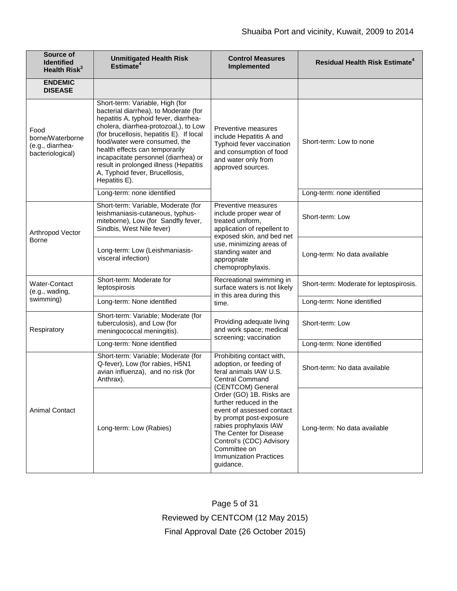| Source of<br><b>Identified</b><br>Health Risk <sup>3</sup>       | <b>Unmitigated Health Risk</b><br>Estimate <sup>4</sup>                                                                                                                                                                                                                                                                                                                                                        | <b>Control Measures</b><br>Implemented                                                                                                                                                                                                                   | <b>Residual Health Risk Estimate<sup>4</sup></b> |
|------------------------------------------------------------------|----------------------------------------------------------------------------------------------------------------------------------------------------------------------------------------------------------------------------------------------------------------------------------------------------------------------------------------------------------------------------------------------------------------|----------------------------------------------------------------------------------------------------------------------------------------------------------------------------------------------------------------------------------------------------------|--------------------------------------------------|
| <b>ENDEMIC</b><br><b>DISEASE</b>                                 |                                                                                                                                                                                                                                                                                                                                                                                                                |                                                                                                                                                                                                                                                          |                                                  |
| Food<br>borne/Waterborne<br>(e.g., diarrhea-<br>bacteriological) | Short-term: Variable, High (for<br>bacterial diarrhea), to Moderate (for<br>hepatitis A, typhoid fever, diarrhea-<br>cholera, diarrhea-protozoal,), to Low<br>(for brucellosis, hepatitis E). If local<br>food/water were consumed, the<br>health effects can temporarily<br>incapacitate personnel (diarrhea) or<br>result in prolonged illness (Hepatitis<br>A, Typhoid fever, Brucellosis,<br>Hepatitis E). | Preventive measures<br>include Hepatitis A and<br>Typhoid fever vaccination<br>and consumption of food<br>and water only from<br>approved sources.                                                                                                       | Short-term: Low to none                          |
|                                                                  | Long-term: none identified                                                                                                                                                                                                                                                                                                                                                                                     |                                                                                                                                                                                                                                                          | Long-term: none identified                       |
| Arthropod Vector<br><b>Borne</b>                                 | Short-term: Variable, Moderate (for<br>leishmaniasis-cutaneous, typhus-<br>miteborne), Low (for Sandfly fever,<br>Sindbis, West Nile fever)                                                                                                                                                                                                                                                                    | Preventive measures<br>include proper wear of<br>treated uniform,<br>application of repellent to<br>exposed skin, and bed net                                                                                                                            | Short-term: Low                                  |
|                                                                  | Long-term: Low (Leishmaniasis-<br>visceral infection)                                                                                                                                                                                                                                                                                                                                                          | use, minimizing areas of<br>standing water and<br>appropriate<br>chemoprophylaxis.                                                                                                                                                                       | Long-term: No data available                     |
| Water-Contact<br>(e.g., wading,                                  | Short-term: Moderate for<br>leptospirosis                                                                                                                                                                                                                                                                                                                                                                      | Recreational swimming in<br>surface waters is not likely<br>in this area during this                                                                                                                                                                     | Short-term: Moderate for leptospirosis.          |
| swimming)                                                        | Long-term: None identified                                                                                                                                                                                                                                                                                                                                                                                     | time.                                                                                                                                                                                                                                                    | Long-term: None identified                       |
| Respiratory                                                      | Short-term: Variable; Moderate (for<br>tuberculosis), and Low (for<br>meningococcal meningitis).                                                                                                                                                                                                                                                                                                               | Providing adequate living<br>and work space; medical<br>screening; vaccination                                                                                                                                                                           | Short-term: Low                                  |
|                                                                  | Long-term: None identified                                                                                                                                                                                                                                                                                                                                                                                     |                                                                                                                                                                                                                                                          | Long-term: None identified                       |
| <b>Animal Contact</b>                                            | Short-term: Variable; Moderate (for<br>Q-fever), Low (for rabies, H5N1<br>avian influenza), and no risk (for<br>Anthrax).                                                                                                                                                                                                                                                                                      | Prohibiting contact with,<br>adoption, or feeding of<br>feral animals IAW U.S.<br><b>Central Command</b><br>(CENTCOM) General                                                                                                                            | Short-term: No data available                    |
|                                                                  | Long-term: Low (Rabies)                                                                                                                                                                                                                                                                                                                                                                                        | Order (GO) 1B. Risks are<br>further reduced in the<br>event of assessed contact<br>by prompt post-exposure<br>rabies prophylaxis IAW<br>The Center for Disease<br>Control's (CDC) Advisory<br>Committee on<br><b>Immunization Practices</b><br>guidance. | Long-term: No data available                     |

Page 5 of 31 Reviewed by CENTCOM (12 May 2015) Final Approval Date (26 October 2015)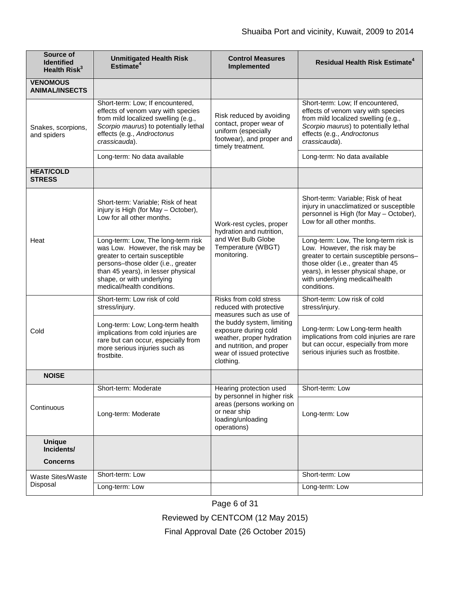| Source of<br><b>Identified</b><br>Health $Risk^3$ | <b>Unmitigated Health Risk</b><br>Estimate <sup>4</sup>                                                                                                                                                                                          | <b>Control Measures</b><br>Implemented                                                                                                                 | <b>Residual Health Risk Estimate<sup>4</sup></b>                                                                                                                                                                                                 |
|---------------------------------------------------|--------------------------------------------------------------------------------------------------------------------------------------------------------------------------------------------------------------------------------------------------|--------------------------------------------------------------------------------------------------------------------------------------------------------|--------------------------------------------------------------------------------------------------------------------------------------------------------------------------------------------------------------------------------------------------|
| <b>VENOMOUS</b><br><b>ANIMAL/INSECTS</b>          |                                                                                                                                                                                                                                                  |                                                                                                                                                        |                                                                                                                                                                                                                                                  |
| Snakes, scorpions,<br>and spiders                 | Short-term: Low; If encountered,<br>effects of venom vary with species<br>from mild localized swelling (e.g.,<br>Scorpio maurus) to potentially lethal<br>effects (e.g., Androctonus<br>crassicauda).                                            | Risk reduced by avoiding<br>contact, proper wear of<br>uniform (especially<br>footwear), and proper and<br>timely treatment.                           | Short-term: Low; If encountered,<br>effects of venom vary with species<br>from mild localized swelling (e.g.,<br>Scorpio maurus) to potentially lethal<br>effects (e.g., Androctonus<br>crassicauda).                                            |
|                                                   | Long-term: No data available                                                                                                                                                                                                                     |                                                                                                                                                        | Long-term: No data available                                                                                                                                                                                                                     |
| <b>HEAT/COLD</b><br><b>STRESS</b>                 |                                                                                                                                                                                                                                                  |                                                                                                                                                        |                                                                                                                                                                                                                                                  |
| Heat                                              | Short-term: Variable; Risk of heat<br>injury is High (for May - October),<br>Low for all other months.                                                                                                                                           | Work-rest cycles, proper<br>hydration and nutrition,                                                                                                   | Short-term: Variable; Risk of heat<br>injury in unacclimatized or susceptible<br>personnel is High (for May - October),<br>Low for all other months.                                                                                             |
|                                                   | Long-term: Low, The long-term risk<br>was Low. However, the risk may be<br>greater to certain susceptible<br>persons-those older (i.e., greater<br>than 45 years), in lesser physical<br>shape, or with underlying<br>medical/health conditions. | and Wet Bulb Globe<br>Temperature (WBGT)<br>monitoring.                                                                                                | Long-term: Low, The long-term risk is<br>Low. However, the risk may be<br>greater to certain susceptible persons-<br>those older (i.e., greater than 45<br>years), in lesser physical shape, or<br>with underlying medical/health<br>conditions. |
| Cold                                              | Short-term: Low risk of cold<br>stress/injury.                                                                                                                                                                                                   | Risks from cold stress<br>reduced with protective<br>measures such as use of                                                                           | Short-term: Low risk of cold<br>stress/injury.                                                                                                                                                                                                   |
|                                                   | Long-term: Low; Long-term health<br>implications from cold injuries are<br>rare but can occur, especially from<br>more serious injuries such as<br>frostbite.                                                                                    | the buddy system, limiting<br>exposure during cold<br>weather, proper hydration<br>and nutrition, and proper<br>wear of issued protective<br>clothing. | Long-term: Low Long-term health<br>implications from cold injuries are rare<br>but can occur, especially from more<br>serious injuries such as frostbite.                                                                                        |
| <b>NOISE</b>                                      |                                                                                                                                                                                                                                                  |                                                                                                                                                        |                                                                                                                                                                                                                                                  |
|                                                   | Short-term: Moderate                                                                                                                                                                                                                             | Hearing protection used<br>by personnel in higher risk                                                                                                 | Short-term: Low                                                                                                                                                                                                                                  |
| Continuous                                        | Long-term: Moderate                                                                                                                                                                                                                              | areas (persons working on<br>or near ship<br>loading/unloading<br>operations)                                                                          | Long-term: Low                                                                                                                                                                                                                                   |
| <b>Unique</b><br>Incidents/                       |                                                                                                                                                                                                                                                  |                                                                                                                                                        |                                                                                                                                                                                                                                                  |
| <b>Concerns</b>                                   |                                                                                                                                                                                                                                                  |                                                                                                                                                        |                                                                                                                                                                                                                                                  |
| Waste Sites/Waste                                 | Short-term: Low                                                                                                                                                                                                                                  |                                                                                                                                                        | Short-term: Low                                                                                                                                                                                                                                  |
| Disposal                                          | Long-term: Low                                                                                                                                                                                                                                   |                                                                                                                                                        | Long-term: Low                                                                                                                                                                                                                                   |

Page 6 of 31

Reviewed by CENTCOM (12 May 2015)

Final Approval Date (26 October 2015)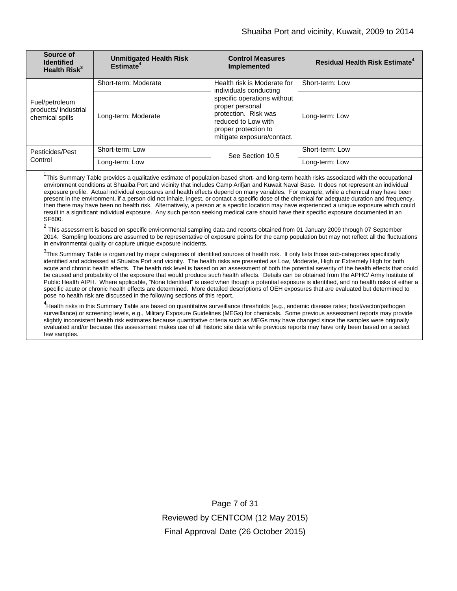| Source of<br><b>Identified</b><br>Health Risk <sup>3</sup> | <b>Unmitigated Health Risk</b><br>Estimate <sup>4</sup> | <b>Control Measures</b><br><b>Implemented</b>                                                                                                       | <b>Residual Health Risk Estimate<sup>4</sup></b> |
|------------------------------------------------------------|---------------------------------------------------------|-----------------------------------------------------------------------------------------------------------------------------------------------------|--------------------------------------------------|
| Fuel/petroleum<br>products/ industrial<br>chemical spills  | Short-term: Moderate                                    | Health risk is Moderate for<br>individuals conducting                                                                                               | Short-term: Low                                  |
|                                                            | Long-term: Moderate                                     | specific operations without<br>proper personal<br>protection. Risk was<br>reduced to Low with<br>proper protection to<br>mitigate exposure/contact. | Long-term: Low                                   |
| Pesticides/Pest<br>Control                                 | Short-term: Low                                         | See Section 10.5                                                                                                                                    | Short-term: Low                                  |
|                                                            | Long-term: Low                                          |                                                                                                                                                     | Long-term: Low                                   |

<sup>1</sup>This Summary Table provides a qualitative estimate of population-based short- and long-term health risks associated with the occupational environment conditions at Shuaiba Port and vicinity that includes Camp Arifjan and Kuwait Naval Base. It does not represent an individual exposure profile. Actual individual exposures and health effects depend on many variables. For example, while a chemical may have been present in the environment, if a person did not inhale, ingest, or contact a specific dose of the chemical for adequate duration and frequency, then there may have been no health risk. Alternatively, a person at a specific location may have experienced a unique exposure which could result in a significant individual exposure. Any such person seeking medical care should have their specific exposure documented in an SF600.

 $2$  This assessment is based on specific environmental sampling data and reports obtained from 01 January 2009 through 07 September 2014. Sampling locations are assumed to be representative of exposure points for the camp population but may not reflect all the fluctuations in environmental quality or capture unique exposure incidents.

 $^3$ This Summary Table is organized by major categories of identified sources of health risk. It only lists those sub-categories specifically identified and addressed at Shuaiba Port and vicinity. The health risks are presented as Low, Moderate, High or Extremely High for both acute and chronic health effects. The health risk level is based on an assessment of both the potential severity of the health effects that could be caused and probability of the exposure that would produce such health effects. Details can be obtained from the APHC/ Army Institute of Public Health AIPH. Where applicable, "None Identified" is used when though a potential exposure is identified, and no health risks of either a specific acute or chronic health effects are determined. More detailed descriptions of OEH exposures that are evaluated but determined to pose no health risk are discussed in the following sections of this report.

<sup>4</sup>Health risks in this Summary Table are based on quantitative surveillance thresholds (e.g., endemic disease rates; host/vector/pathogen surveillance) or screening levels, e.g., Military Exposure Guidelines (MEGs) for chemicals*.* Some previous assessment reports may provide slightly inconsistent health risk estimates because quantitative criteria such as MEGs may have changed since the samples were originally evaluated and/or because this assessment makes use of all historic site data while previous reports may have only been based on a select few samples.

> Page 7 of 31 Reviewed by CENTCOM (12 May 2015) Final Approval Date (26 October 2015)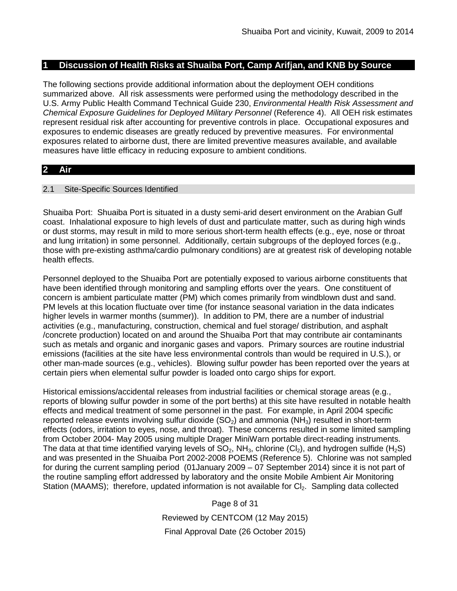### **1 Discussion of Health Risks at Shuaiba Port, Camp Arifjan, and KNB by Source**

The following sections provide additional information about the deployment OEH conditions summarized above. All risk assessments were performed using the methodology described in the U.S. Army Public Health Command Technical Guide 230, *Environmental Health Risk Assessment and Chemical Exposure Guidelines for Deployed Military Personnel* (Reference 4). All OEH risk estimates represent residual risk after accounting for preventive controls in place. Occupational exposures and exposures to endemic diseases are greatly reduced by preventive measures. For environmental exposures related to airborne dust, there are limited preventive measures available, and available measures have little efficacy in reducing exposure to ambient conditions.

## **2 Air**

### 2.1 Site-Specific Sources Identified

Shuaiba Port: Shuaiba Port is situated in a dusty semi-arid desert environment on the Arabian Gulf coast. Inhalational exposure to high levels of dust and particulate matter, such as during high winds or dust storms, may result in mild to more serious short-term health effects (e.g., eye, nose or throat and lung irritation) in some personnel. Additionally, certain subgroups of the deployed forces (e.g., those with pre-existing asthma/cardio pulmonary conditions) are at greatest risk of developing notable health effects.

Personnel deployed to the Shuaiba Port are potentially exposed to various airborne constituents that have been identified through monitoring and sampling efforts over the years. One constituent of concern is ambient particulate matter (PM) which comes primarily from windblown dust and sand. PM levels at this location fluctuate over time (for instance seasonal variation in the data indicates higher levels in warmer months (summer)). In addition to PM, there are a number of industrial activities (e.g., manufacturing, construction, chemical and fuel storage/ distribution, and asphalt /concrete production) located on and around the Shuaiba Port that may contribute air contaminants such as metals and organic and inorganic gases and vapors. Primary sources are routine industrial emissions (facilities at the site have less environmental controls than would be required in U.S.), or other man-made sources (e.g., vehicles). Blowing sulfur powder has been reported over the years at certain piers when elemental sulfur powder is loaded onto cargo ships for export.

Historical emissions/accidental releases from industrial facilities or chemical storage areas (e.g., reports of blowing sulfur powder in some of the port berths) at this site have resulted in notable health effects and medical treatment of some personnel in the past. For example, in April 2004 specific reported release events involving sulfur dioxide  $(SO<sub>2</sub>)$  and ammonia  $(NH<sub>3</sub>)$  resulted in short-term effects (odors, irritation to eyes, nose, and throat). These concerns resulted in some limited sampling from October 2004- May 2005 using multiple Drager MiniWarn portable direct-reading instruments. The data at that time identified varying levels of  $SO_2$ , NH<sub>3</sub>, chlorine (Cl<sub>2</sub>), and hydrogen sulfide (H<sub>2</sub>S) and was presented in the Shuaiba Port 2002-2008 POEMS (Reference 5). Chlorine was not sampled for during the current sampling period (01January 2009 – 07 September 2014) since it is not part of the routine sampling effort addressed by laboratory and the onsite Mobile Ambient Air Monitoring Station (MAAMS); therefore, updated information is not available for Cl<sub>2</sub>. Sampling data collected

> Page 8 of 31 Reviewed by CENTCOM (12 May 2015) Final Approval Date (26 October 2015)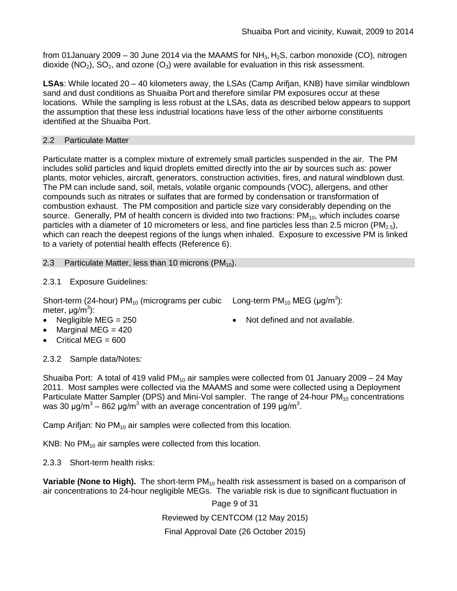from 01 January 2009 – 30 June 2014 via the MAAMS for NH<sub>3</sub>, H<sub>2</sub>S, carbon monoxide (CO), nitrogen dioxide ( $NO<sub>2</sub>$ ),  $SO<sub>2</sub>$ , and ozone ( $O<sub>3</sub>$ ) were available for evaluation in this risk assessment.

**LSAs**: While located 20 – 40 kilometers away, the LSAs (Camp Arifjan, KNB) have similar windblown sand and dust conditions as Shuaiba Port and therefore similar PM exposures occur at these locations. While the sampling is less robust at the LSAs, data as described below appears to support the assumption that these less industrial locations have less of the other airborne constituents identified at the Shuaiba Port.

## 2.2 Particulate Matter

Particulate matter is a complex mixture of extremely small particles suspended in the air. The PM includes solid particles and liquid droplets emitted directly into the air by sources such as: power plants, motor vehicles, aircraft, generators, construction activities, fires, and natural windblown dust. The PM can include sand, soil, metals, volatile organic compounds (VOC), allergens, and other compounds such as nitrates or sulfates that are formed by condensation or transformation of combustion exhaust. The PM composition and particle size vary considerably depending on the source. Generally, PM of health concern is divided into two fractions:  $PM_{10}$ , which includes coarse particles with a diameter of 10 micrometers or less, and fine particles less than 2.5 micron (PM<sub>2.5</sub>), which can reach the deepest regions of the lungs when inhaled. Exposure to excessive PM is linked to a variety of potential health effects (Reference 6).

2.3 Particulate Matter, less than 10 microns  $(PM_{10})$ .

2.3.1 Exposure Guidelines:

Short-term (24-hour) PM<sub>10</sub> (micrograms per cubic Long-term PM<sub>10</sub> MEG (µg/m<sup>3</sup>): meter, μg/m<sup>3</sup>):

- 
- Marginal MEG  $= 420$
- Critical MEG  $= 600$
- Negligible MEG = 250 Not defined and not available.

2.3.2 Sample data/Notes:

Shuaiba Port: A total of 419 valid PM<sub>10</sub> air samples were collected from 01 January 2009 – 24 May 2011. Most samples were collected via the MAAMS and some were collected using a Deployment Particulate Matter Sampler (DPS) and Mini-Vol sampler. The range of 24-hour PM<sub>10</sub> concentrations was 30 μg/m<sup>3</sup> – 862 μg/m<sup>3</sup> with an average concentration of 199 μg/m<sup>3</sup>.

Camp Arifjan: No  $PM_{10}$  air samples were collected from this location.

KNB: No  $PM_{10}$  air samples were collected from this location.

2.3.3 Short-term health risks:

**Variable (None to High).** The short-term PM<sub>10</sub> health risk assessment is based on a comparison of air concentrations to 24-hour negligible MEGs. The variable risk is due to significant fluctuation in

Page 9 of 31

Reviewed by CENTCOM (12 May 2015)

Final Approval Date (26 October 2015)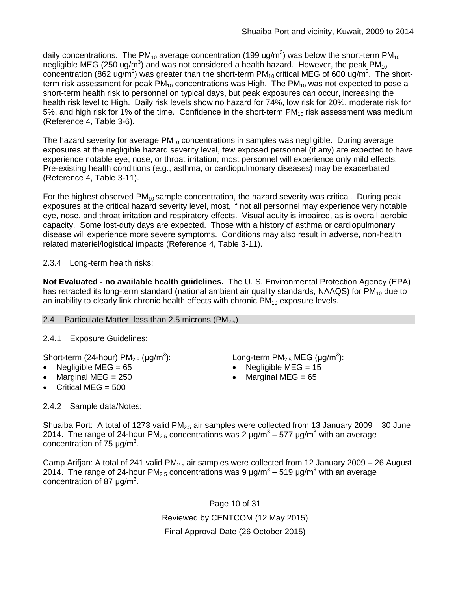daily concentrations. The PM<sub>10</sub> average concentration (199 ug/m<sup>3</sup>) was below the short-term PM<sub>10</sub> negligible MEG (250 ug/m<sup>3</sup>) and was not considered a health hazard. However, the peak PM<sub>10</sub> concentration (862 ug/m<sup>3</sup>) was greater than the short-term PM<sub>10</sub> critical MEG of 600 ug/m<sup>3</sup>. The shortterm risk assessment for peak  $PM_{10}$  concentrations was High. The  $PM_{10}$  was not expected to pose a short-term health risk to personnel on typical days, but peak exposures can occur, increasing the health risk level to High. Daily risk levels show no hazard for 74%, low risk for 20%, moderate risk for 5%, and high risk for 1% of the time. Confidence in the short-term  $PM_{10}$  risk assessment was medium (Reference 4, Table 3-6).

The hazard severity for average  $PM_{10}$  concentrations in samples was negligible. During average exposures at the negligible hazard severity level, few exposed personnel (if any) are expected to have experience notable eye, nose, or throat irritation; most personnel will experience only mild effects. Pre-existing health conditions (e.g., asthma, or cardiopulmonary diseases) may be exacerbated (Reference 4, Table 3-11).

For the highest observed  $PM_{10}$  sample concentration, the hazard severity was critical. During peak exposures at the critical hazard severity level, most, if not all personnel may experience very notable eye, nose, and throat irritation and respiratory effects. Visual acuity is impaired, as is overall aerobic capacity. Some lost-duty days are expected. Those with a history of asthma or cardiopulmonary disease will experience more severe symptoms. Conditions may also result in adverse, non-health related materiel/logistical impacts (Reference 4, Table 3-11).

# 2.3.4 Long-term health risks:

**Not Evaluated - no available health guidelines.** The U. S. Environmental Protection Agency (EPA) has retracted its long-term standard (national ambient air quality standards, NAAQS) for  $PM_{10}$  due to an inability to clearly link chronic health effects with chronic  $PM_{10}$  exposure levels.

### 2.4 Particulate Matter, less than 2.5 microns  $(PM_{2.5})$

# 2.4.1 Exposure Guidelines:

Short-term (24-hour)  $PM_{2.5}$  ( $\mu$ g/m<sup>3</sup>):

- 
- Marginal MEG  $= 250$
- Critical MEG  $= 500$

2.4.2 Sample data/Notes:

): Long-term PM<sub>2.5</sub> MEG ( $\mu$ g/m<sup>3</sup>):

- Negligible MEG = 65 Negligible MEG = 15
	- Marginal MEG  $= 65$

Shuaiba Port: A total of 1273 valid  $PM_{2.5}$  air samples were collected from 13 January 2009 – 30 June 2014. The range of 24-hour PM<sub>2.5</sub> concentrations was 2  $\mu$ g/m<sup>3</sup> – 577  $\mu$ g/m<sup>3</sup> with an average concentration of 75  $\mu$ g/m<sup>3</sup>.

Camp Arifjan: A total of 241 valid  $PM<sub>2.5</sub>$  air samples were collected from 12 January 2009 – 26 August 2014. The range of 24-hour PM<sub>2.5</sub> concentrations was 9  $\mu$ g/m<sup>3</sup> – 519  $\mu$ g/m<sup>3</sup> with an average concentration of 87  $\mu$ g/m<sup>3</sup>.

> Page 10 of 31 Reviewed by CENTCOM (12 May 2015) Final Approval Date (26 October 2015)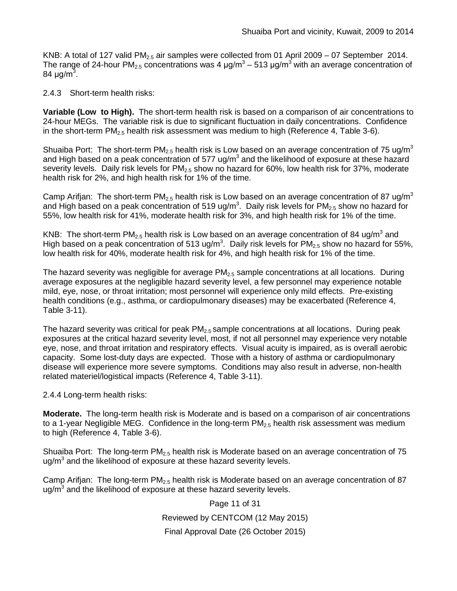KNB: A total of 127 valid PM<sub>2.5</sub> air samples were collected from 01 April 2009 – 07 September 2014. The range of 24-hour PM<sub>2.5</sub> concentrations was 4  $\mu$ g/m<sup>3</sup> – 513  $\mu$ g/m<sup>3</sup> with an average concentration of 84 μg/m<sup>3</sup>.

## 2.4.3 Short-term health risks:

**Variable (Low to High).** The short-term health risk is based on a comparison of air concentrations to 24-hour MEGs. The variable risk is due to significant fluctuation in daily concentrations. Confidence in the short-term  $PM_{2.5}$  health risk assessment was medium to high (Reference 4, Table 3-6).

Shuaiba Port: The short-term PM<sub>2.5</sub> health risk is Low based on an average concentration of 75 ug/m<sup>3</sup> and High based on a peak concentration of 577 ug/m<sup>3</sup> and the likelihood of exposure at these hazard severity levels. Daily risk levels for  $PM<sub>2.5</sub>$  show no hazard for 60%, low health risk for 37%, moderate health risk for 2%, and high health risk for 1% of the time.

Camp Arifjan: The short-term PM<sub>2.5</sub> health risk is Low based on an average concentration of 87 ug/m<sup>3</sup> and High based on a peak concentration of 519 ug/m<sup>3</sup>. Daily risk levels for PM<sub>2.5</sub> show no hazard for 55%, low health risk for 41%, moderate health risk for 3%, and high health risk for 1% of the time.

KNB: The short-term PM<sub>2.5</sub> health risk is Low based on an average concentration of 84 ug/m<sup>3</sup> and High based on a peak concentration of 513 ug/m<sup>3</sup>. Daily risk levels for PM<sub>2.5</sub> show no hazard for 55%, low health risk for 40%, moderate health risk for 4%, and high health risk for 1% of the time.

The hazard severity was negligible for average  $PM<sub>2.5</sub>$  sample concentrations at all locations. During average exposures at the negligible hazard severity level, a few personnel may experience notable mild, eye, nose, or throat irritation; most personnel will experience only mild effects. Pre-existing health conditions (e.g., asthma, or cardiopulmonary diseases) may be exacerbated (Reference 4, Table 3-11).

The hazard severity was critical for peak  $PM<sub>2.5</sub>$  sample concentrations at all locations. During peak exposures at the critical hazard severity level, most, if not all personnel may experience very notable eye, nose, and throat irritation and respiratory effects. Visual acuity is impaired, as is overall aerobic capacity. Some lost-duty days are expected. Those with a history of asthma or cardiopulmonary disease will experience more severe symptoms. Conditions may also result in adverse, non-health related materiel/logistical impacts (Reference 4, Table 3-11).

2.4.4 Long-term health risks:

**Moderate.** The long-term health risk is Moderate and is based on a comparison of air concentrations to a 1-year Negligible MEG. Confidence in the long-term  $PM_{2.5}$  health risk assessment was medium to high (Reference 4, Table 3-6).

Shuaiba Port: The long-term  $PM<sub>2.5</sub>$  health risk is Moderate based on an average concentration of 75  $\mu$ g/m<sup>3</sup> and the likelihood of exposure at these hazard severity levels.

Camp Arifjan: The long-term  $PM<sub>2.5</sub>$  health risk is Moderate based on an average concentration of 87  $\mu$ g/m<sup>3</sup> and the likelihood of exposure at these hazard severity levels.

Page 11 of 31

Reviewed by CENTCOM (12 May 2015)

Final Approval Date (26 October 2015)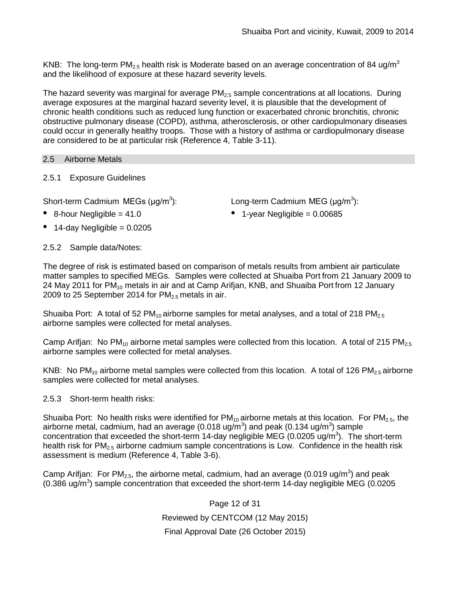KNB: The long-term PM<sub>2.5</sub> health risk is Moderate based on an average concentration of 84 ug/m<sup>3</sup> and the likelihood of exposure at these hazard severity levels.

The hazard severity was marginal for average  $PM_{2.5}$  sample concentrations at all locations. During average exposures at the marginal hazard severity level, it is plausible that the development of chronic health conditions such as reduced lung function or exacerbated chronic bronchitis, chronic obstructive pulmonary disease (COPD), asthma, atherosclerosis, or other cardiopulmonary diseases could occur in generally healthy troops. Those with a history of asthma or cardiopulmonary disease are considered to be at particular risk (Reference 4, Table 3-11).

### 2.5 Airborne Metals

## 2.5.1 Exposure Guidelines

Short-term Cadmium MEGs  $(\mu q/m^3)$ :

- 
- $\bullet$  14-day Negligible = 0.0205

): Long-term Cadmium MEG ( $\mu$ g/m<sup>3</sup>):

• 8-hour Negligible = 41.0 • 1-year Negligible = 0.00685

## 2.5.2 Sample data/Notes:

The degree of risk is estimated based on comparison of metals results from ambient air particulate matter samples to specified MEGs. Samples were collected at Shuaiba Port from 21 January 2009 to 24 May 2011 for PM<sub>10</sub> metals in air and at Camp Arifjan, KNB, and Shuaiba Port from 12 January 2009 to 25 September 2014 for  $PM_{2.5}$  metals in air.

Shuaiba Port: A total of 52 PM<sub>10</sub> airborne samples for metal analyses, and a total of 218 PM<sub>2.5</sub> airborne samples were collected for metal analyses.

Camp Arifian: No PM<sub>10</sub> airborne metal samples were collected from this location. A total of 215 PM<sub>2.5</sub> airborne samples were collected for metal analyses.

KNB: No PM<sub>10</sub> airborne metal samples were collected from this location. A total of 126 PM<sub>2.5</sub> airborne samples were collected for metal analyses.

2.5.3 Short-term health risks:

Shuaiba Port: No health risks were identified for  $PM_{10}$  airborne metals at this location. For  $PM_{2.5}$ , the airborne metal, cadmium, had an average (0.018 ug/m<sup>3</sup>) and peak (0.134 ug/m<sup>3</sup>) sample concentration that exceeded the short-term 14-day negligible MEG (0.0205 ug/m<sup>3</sup>). The short-term health risk for  $PM_{2.5}$  airborne cadmium sample concentrations is Low. Confidence in the health risk assessment is medium (Reference 4, Table 3-6).

Camp Arifjan: For PM<sub>2.5</sub>, the airborne metal, cadmium, had an average (0.019 ug/m<sup>3</sup>) and peak (0.386 ug/m<sup>3</sup>) sample concentration that exceeded the short-term 14-day negligible MEG (0.0205

> Page 12 of 31 Reviewed by CENTCOM (12 May 2015) Final Approval Date (26 October 2015)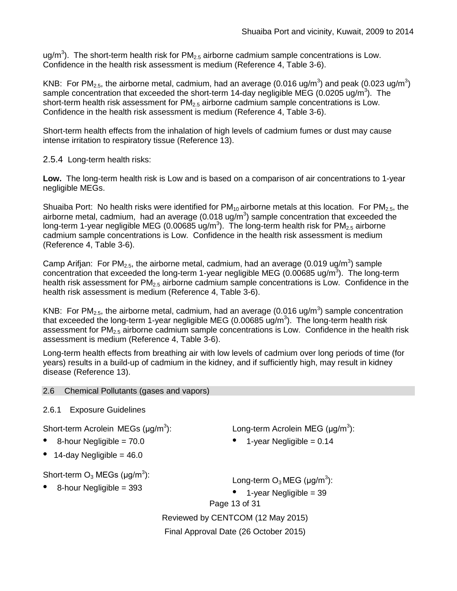ug/m<sup>3</sup>). The short-term health risk for PM<sub>2.5</sub> airborne cadmium sample concentrations is Low. Confidence in the health risk assessment is medium (Reference 4, Table 3-6).

KNB: For PM<sub>2.5</sub>, the airborne metal, cadmium, had an average (0.016 ug/m<sup>3</sup>) and peak (0.023 ug/m<sup>3</sup>) sample concentration that exceeded the short-term 14-day negligible MEG (0.0205 ug/m<sup>3</sup>). The short-term health risk assessment for  $PM<sub>2.5</sub>$  airborne cadmium sample concentrations is Low. Confidence in the health risk assessment is medium (Reference 4, Table 3-6).

Short-term health effects from the inhalation of high levels of cadmium fumes or dust may cause intense irritation to respiratory tissue (Reference 13).

2.5.4 Long-term health risks:

**Low.** The long-term health risk is Low and is based on a comparison of air concentrations to 1-year negligible MEGs.

Shuaiba Port: No health risks were identified for  $PM_{10}$  airborne metals at this location. For  $PM_{2.5}$ , the airborne metal, cadmium, had an average (0.018 ug/m<sup>3</sup>) sample concentration that exceeded the long-term 1-year negligible MEG (0.00685 ug/m<sup>3</sup>). The long-term health risk for PM<sub>2.5</sub> airborne cadmium sample concentrations is Low. Confidence in the health risk assessment is medium (Reference 4, Table 3-6).

Camp Arifjan: For PM<sub>2.5</sub>, the airborne metal, cadmium, had an average (0.019 ug/m<sup>3</sup>) sample concentration that exceeded the long-term 1-year negligible MEG (0.00685 ug/m<sup>3</sup>). The long-term health risk assessment for  $PM<sub>2.5</sub>$  airborne cadmium sample concentrations is Low. Confidence in the health risk assessment is medium (Reference 4, Table 3-6).

KNB: For PM<sub>2.5</sub>, the airborne metal, cadmium, had an average (0.016 ug/m<sup>3</sup>) sample concentration that exceeded the long-term 1-year negligible MEG (0.00685 ug/m<sup>3</sup>). The long-term health risk assessment for  $PM_{2.5}$  airborne cadmium sample concentrations is Low. Confidence in the health risk assessment is medium (Reference 4, Table 3-6).

Long-term health effects from breathing air with low levels of cadmium over long periods of time (for years) results in a build-up of cadmium in the kidney, and if sufficiently high, may result in kidney disease (Reference 13).

### 2.6 Chemical Pollutants (gases and vapors)

## 2.6.1 Exposure Guidelines

Short-term Acrolein MEGs (μg/m<sup>3</sup>):

- 8-hour Negligible = 70.0
- 14-day Negligible =  $46.0$

Short-term  $O_3$  MEGs (µg/m<sup>3</sup>):

• 8-hour Negligible = 393

Long-term Acrolein MEG (μg/m<sup>3</sup>):

1-year Negligible =  $0.14$ 

Long-term  $O_3$  MEG (µg/m $^3$ ):

• 1-year Negligible = 39

Page 13 of 31

Reviewed by CENTCOM (12 May 2015)

Final Approval Date (26 October 2015)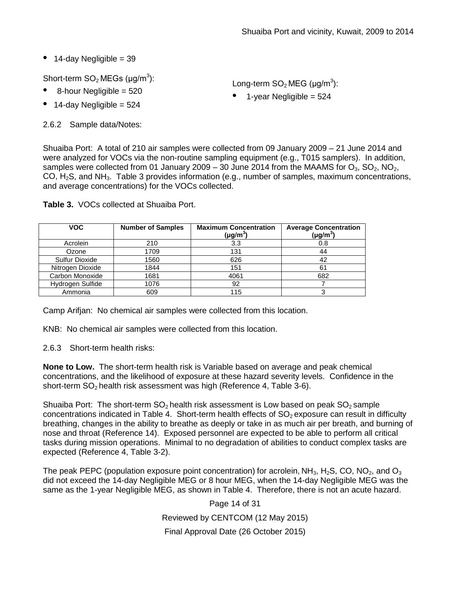$\bullet$  14-day Negligible = 39

Short-term  $SO_2$  MEGs (µg/m $^3$ ):

- 8-hour Negligible <sup>=</sup> <sup>520</sup>
- $\bullet$  14-day Negligible = 524

2.6.2 Sample data/Notes:

Long-term  $SO_2$  MEG (µg/m<sup>3</sup>):

 $\bullet$  1-year Negligible = 524

Shuaiba Port: A total of 210 air samples were collected from 09 January 2009 – 21 June 2014 and were analyzed for VOCs via the non-routine sampling equipment (e.g., T015 samplers). In addition, samples were collected from 01 January 2009 – 30 June 2014 from the MAAMS for  $O_3$ ,  $SO_2$ ,  $NO_2$ , CO, H2S, and NH3. Table 3 provides information (e.g., number of samples, maximum concentrations, and average concentrations) for the VOCs collected.

| <b>VOC</b>       | <b>Number of Samples</b> | <b>Maximum Concentration</b><br>$(\mu g/m^3)$ | <b>Average Concentration</b><br>$(\mu g/m^3)$ |
|------------------|--------------------------|-----------------------------------------------|-----------------------------------------------|
| Acrolein         | 210                      | 3.3                                           | 0.8                                           |
| Ozone            | 1709                     | 131                                           | 44                                            |
| Sulfur Dioxide   | 1560                     | 626                                           | 42                                            |
| Nitrogen Dioxide | 1844                     | 151                                           | 61                                            |
| Carbon Monoxide  | 1681                     | 4061                                          | 682                                           |
| Hydrogen Sulfide | 1076                     | 92                                            |                                               |
| Ammonia          | 609                      | 115                                           |                                               |

**Table 3.** VOCs collected at Shuaiba Port.

Camp Arifjan: No chemical air samples were collected from this location.

KNB: No chemical air samples were collected from this location.

2.6.3 Short-term health risks:

**None to Low.** The short-term health risk is Variable based on average and peak chemical concentrations, and the likelihood of exposure at these hazard severity levels. Confidence in the short-term  $SO<sub>2</sub>$  health risk assessment was high (Reference 4, Table 3-6).

Shuaiba Port: The short-term  $SO<sub>2</sub>$  health risk assessment is Low based on peak  $SO<sub>2</sub>$  sample concentrations indicated in Table 4. Short-term health effects of  $SO<sub>2</sub>$  exposure can result in difficulty breathing, changes in the ability to breathe as deeply or take in as much air per breath, and burning of nose and throat (Reference 14). Exposed personnel are expected to be able to perform all critical tasks during mission operations. Minimal to no degradation of abilities to conduct complex tasks are expected (Reference 4, Table 3-2).

The peak PEPC (population exposure point concentration) for acrolein,  $NH_3$ , H<sub>2</sub>S, CO, NO<sub>2</sub>, and O<sub>3</sub> did not exceed the 14-day Negligible MEG or 8 hour MEG, when the 14-day Negligible MEG was the same as the 1-year Negligible MEG, as shown in Table 4. Therefore, there is not an acute hazard.

> Page 14 of 31 Reviewed by CENTCOM (12 May 2015) Final Approval Date (26 October 2015)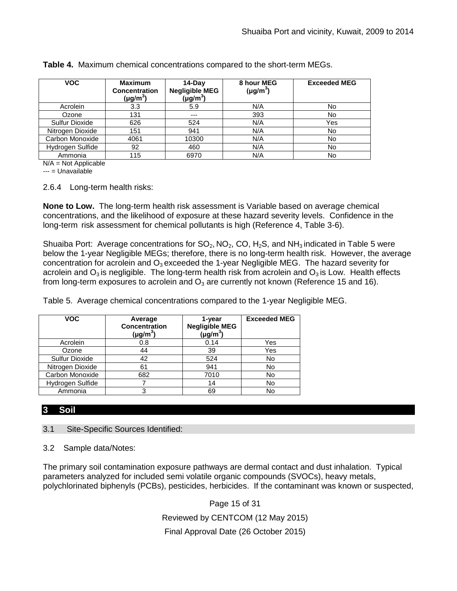| <b>VOC</b>       | <b>Maximum</b><br><b>Concentration</b><br>$(\mu g/m^3)$ | $14-Dav$<br><b>Negligible MEG</b><br>(µg/m $^3$ ) | 8 hour MEG<br>$(\mu g/m^3)$ | <b>Exceeded MEG</b> |
|------------------|---------------------------------------------------------|---------------------------------------------------|-----------------------------|---------------------|
| Acrolein         | 3.3                                                     | 5.9                                               | N/A                         | No                  |
| Ozone            | 131                                                     | $---$                                             | 393                         | No                  |
| Sulfur Dioxide   | 626                                                     | 524                                               | N/A                         | Yes                 |
| Nitrogen Dioxide | 151                                                     | 941                                               | N/A                         | No                  |
| Carbon Monoxide  | 4061                                                    | 10300                                             | N/A                         | No                  |
| Hydrogen Sulfide | 92                                                      | 460                                               | N/A                         | No                  |
| Ammonia          | 115                                                     | 6970                                              | N/A                         | No                  |

**Table 4.** Maximum chemical concentrations compared to the short-term MEGs.

N/A = Not Applicable

--- = Unavailable

2.6.4 Long-term health risks:

**None to Low.** The long-term health risk assessment is Variable based on average chemical concentrations, and the likelihood of exposure at these hazard severity levels. Confidence in the long-term risk assessment for chemical pollutants is high (Reference 4, Table 3-6).

Shuaiba Port: Average concentrations for  $SO_2$ , NO<sub>2</sub>, CO, H<sub>2</sub>S, and NH<sub>3</sub> indicated in Table 5 were below the 1-year Negligible MEGs; therefore, there is no long-term health risk. However, the average concentration for acrolein and  $O_3$  exceeded the 1-year Negligible MEG. The hazard severity for acrolein and  $O_3$  is negligible. The long-term health risk from acrolein and  $O_3$  is Low. Health effects from long-term exposures to acrolein and  $O_3$  are currently not known (Reference 15 and 16).

Table 5. Average chemical concentrations compared to the 1-year Negligible MEG.

| <b>VOC</b>       | Average<br><b>Concentration</b><br>$(\mu g/m^3)$ | 1-year<br><b>Negligible MEG</b><br>$(\mu g/m^3)$ | <b>Exceeded MEG</b> |
|------------------|--------------------------------------------------|--------------------------------------------------|---------------------|
| Acrolein         | 0.8                                              | 0.14                                             | Yes                 |
| Ozone            | 44                                               | 39                                               | Yes                 |
| Sulfur Dioxide   | 42                                               | 524                                              | No                  |
| Nitrogen Dioxide | 61                                               | 941                                              | No                  |
| Carbon Monoxide  | 682                                              | 7010                                             | No                  |
| Hydrogen Sulfide |                                                  | 14                                               | No                  |
| Ammonia          |                                                  | 69                                               | No                  |

## **3 Soil**

3.1 Site-Specific Sources Identified:

3.2 Sample data/Notes:

The primary soil contamination exposure pathways are dermal contact and dust inhalation. Typical parameters analyzed for included semi volatile organic compounds (SVOCs), heavy metals, polychlorinated biphenyls (PCBs), pesticides, herbicides. If the contaminant was known or suspected,

Page 15 of 31

Reviewed by CENTCOM (12 May 2015)

Final Approval Date (26 October 2015)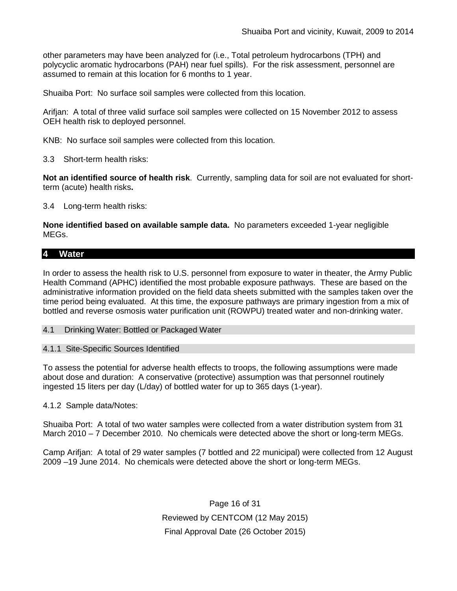other parameters may have been analyzed for (i.e., Total petroleum hydrocarbons (TPH) and polycyclic aromatic hydrocarbons (PAH) near fuel spills). For the risk assessment, personnel are assumed to remain at this location for 6 months to 1 year.

Shuaiba Port: No surface soil samples were collected from this location.

Arifjan: A total of three valid surface soil samples were collected on 15 November 2012 to assess OEH health risk to deployed personnel.

KNB: No surface soil samples were collected from this location.

3.3 Short-term health risks:

**Not an identified source of health risk**. Currently, sampling data for soil are not evaluated for shortterm (acute) health risks**.**

3.4 Long-term health risks:

**None identified based on available sample data.** No parameters exceeded 1-year negligible MEGs.

## **4 Water**

In order to assess the health risk to U.S. personnel from exposure to water in theater, the Army Public Health Command (APHC) identified the most probable exposure pathways. These are based on the administrative information provided on the field data sheets submitted with the samples taken over the time period being evaluated. At this time, the exposure pathways are primary ingestion from a mix of bottled and reverse osmosis water purification unit (ROWPU) treated water and non-drinking water.

4.1 Drinking Water: Bottled or Packaged Water

4.1.1 Site-Specific Sources Identified

To assess the potential for adverse health effects to troops, the following assumptions were made about dose and duration: A conservative (protective) assumption was that personnel routinely ingested 15 liters per day (L/day) of bottled water for up to 365 days (1-year).

4.1.2 Sample data/Notes:

Shuaiba Port: A total of two water samples were collected from a water distribution system from 31 March 2010 – 7 December 2010. No chemicals were detected above the short or long-term MEGs.

Camp Arifjan: A total of 29 water samples (7 bottled and 22 municipal) were collected from 12 August 2009 –19 June 2014. No chemicals were detected above the short or long-term MEGs.

> Page 16 of 31 Reviewed by CENTCOM (12 May 2015) Final Approval Date (26 October 2015)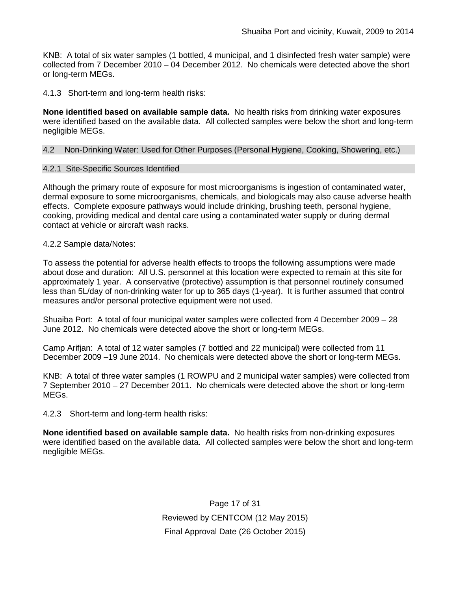KNB: A total of six water samples (1 bottled, 4 municipal, and 1 disinfected fresh water sample) were collected from 7 December 2010 – 04 December 2012. No chemicals were detected above the short or long-term MEGs.

4.1.3 Short-term and long-term health risks:

**None identified based on available sample data.** No health risks from drinking water exposures were identified based on the available data. All collected samples were below the short and long-term negligible MEGs.

#### 4.2 Non-Drinking Water: Used for Other Purposes (Personal Hygiene, Cooking, Showering, etc.)

#### 4.2.1 Site-Specific Sources Identified

Although the primary route of exposure for most microorganisms is ingestion of contaminated water, dermal exposure to some microorganisms, chemicals, and biologicals may also cause adverse health effects. Complete exposure pathways would include drinking, brushing teeth, personal hygiene, cooking, providing medical and dental care using a contaminated water supply or during dermal contact at vehicle or aircraft wash racks.

#### 4.2.2 Sample data/Notes:

To assess the potential for adverse health effects to troops the following assumptions were made about dose and duration: All U.S. personnel at this location were expected to remain at this site for approximately 1 year. A conservative (protective) assumption is that personnel routinely consumed less than 5L/day of non-drinking water for up to 365 days (1-year). It is further assumed that control measures and/or personal protective equipment were not used.

Shuaiba Port: A total of four municipal water samples were collected from 4 December 2009 – 28 June 2012. No chemicals were detected above the short or long-term MEGs.

Camp Arifjan: A total of 12 water samples (7 bottled and 22 municipal) were collected from 11 December 2009 –19 June 2014. No chemicals were detected above the short or long-term MEGs.

KNB: A total of three water samples (1 ROWPU and 2 municipal water samples) were collected from 7 September 2010 – 27 December 2011. No chemicals were detected above the short or long-term MEGs.

4.2.3 Short-term and long-term health risks:

**None identified based on available sample data.** No health risks from non-drinking exposures were identified based on the available data. All collected samples were below the short and long-term negligible MEGs.

> Page 17 of 31 Reviewed by CENTCOM (12 May 2015) Final Approval Date (26 October 2015)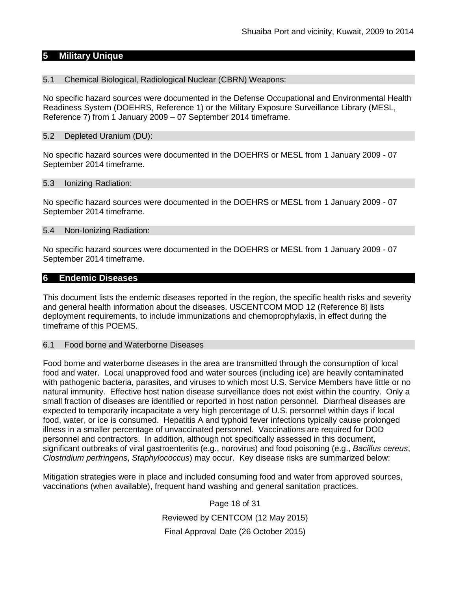## **5 Military Unique**

#### 5.1 Chemical Biological, Radiological Nuclear (CBRN) Weapons:

No specific hazard sources were documented in the Defense Occupational and Environmental Health Readiness System (DOEHRS, Reference 1) or the Military Exposure Surveillance Library (MESL, Reference 7) from 1 January 2009 – 07 September 2014 timeframe.

#### 5.2 Depleted Uranium (DU):

No specific hazard sources were documented in the DOEHRS or MESL from 1 January 2009 - 07 September 2014 timeframe.

#### 5.3 Ionizing Radiation:

No specific hazard sources were documented in the DOEHRS or MESL from 1 January 2009 - 07 September 2014 timeframe.

#### 5.4 Non-Ionizing Radiation:

No specific hazard sources were documented in the DOEHRS or MESL from 1 January 2009 - 07 September 2014 timeframe.

#### **6 Endemic Diseases**

This document lists the endemic diseases reported in the region, the specific health risks and severity and general health information about the diseases. USCENTCOM MOD 12 (Reference 8) lists deployment requirements, to include immunizations and chemoprophylaxis, in effect during the timeframe of this POEMS.

#### 6.1 Food borne and Waterborne Diseases

Food borne and waterborne diseases in the area are transmitted through the consumption of local food and water. Local unapproved food and water sources (including ice) are heavily contaminated with pathogenic bacteria, parasites, and viruses to which most U.S. Service Members have little or no natural immunity. Effective host nation disease surveillance does not exist within the country. Only a small fraction of diseases are identified or reported in host nation personnel. Diarrheal diseases are expected to temporarily incapacitate a very high percentage of U.S. personnel within days if local food, water, or ice is consumed. Hepatitis A and typhoid fever infections typically cause prolonged illness in a smaller percentage of unvaccinated personnel. Vaccinations are required for DOD personnel and contractors. In addition, although not specifically assessed in this document, significant outbreaks of viral gastroenteritis (e.g., norovirus) and food poisoning (e.g., *Bacillus cereus*, *Clostridium perfringens*, *Staphylococcus*) may occur. Key disease risks are summarized below:

Mitigation strategies were in place and included consuming food and water from approved sources, vaccinations (when available), frequent hand washing and general sanitation practices.

> Page 18 of 31 Reviewed by CENTCOM (12 May 2015) Final Approval Date (26 October 2015)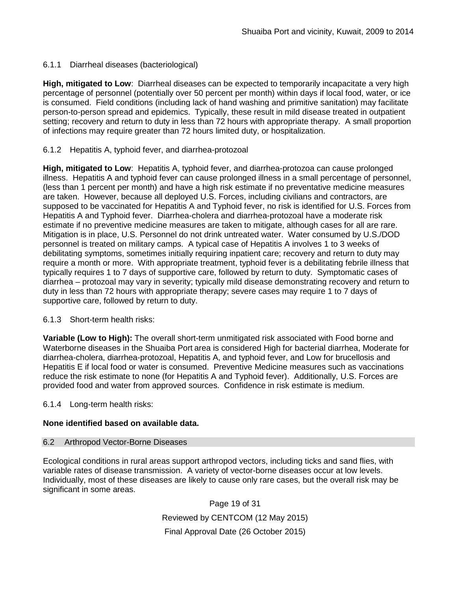## 6.1.1 Diarrheal diseases (bacteriological)

**High, mitigated to Low**: Diarrheal diseases can be expected to temporarily incapacitate a very high percentage of personnel (potentially over 50 percent per month) within days if local food, water, or ice is consumed. Field conditions (including lack of hand washing and primitive sanitation) may facilitate person-to-person spread and epidemics. Typically, these result in mild disease treated in outpatient setting; recovery and return to duty in less than 72 hours with appropriate therapy. A small proportion of infections may require greater than 72 hours limited duty, or hospitalization.

### 6.1.2 Hepatitis A, typhoid fever, and diarrhea-protozoal

**High, mitigated to Low**: Hepatitis A, typhoid fever, and diarrhea-protozoa can cause prolonged illness. Hepatitis A and typhoid fever can cause prolonged illness in a small percentage of personnel, (less than 1 percent per month) and have a high risk estimate if no preventative medicine measures are taken. However, because all deployed U.S. Forces, including civilians and contractors, are supposed to be vaccinated for Hepatitis A and Typhoid fever, no risk is identified for U.S. Forces from Hepatitis A and Typhoid fever. Diarrhea-cholera and diarrhea-protozoal have a moderate risk estimate if no preventive medicine measures are taken to mitigate, although cases for all are rare. Mitigation is in place, U.S. Personnel do not drink untreated water. Water consumed by U.S./DOD personnel is treated on military camps. A typical case of Hepatitis A involves 1 to 3 weeks of debilitating symptoms, sometimes initially requiring inpatient care; recovery and return to duty may require a month or more. With appropriate treatment, typhoid fever is a debilitating febrile illness that typically requires 1 to 7 days of supportive care, followed by return to duty. Symptomatic cases of diarrhea – protozoal may vary in severity; typically mild disease demonstrating recovery and return to duty in less than 72 hours with appropriate therapy; severe cases may require 1 to 7 days of supportive care, followed by return to duty.

### 6.1.3 Short-term health risks:

**Variable (Low to High):** The overall short-term unmitigated risk associated with Food borne and Waterborne diseases in the Shuaiba Port area is considered High for bacterial diarrhea, Moderate for diarrhea-cholera, diarrhea-protozoal, Hepatitis A, and typhoid fever, and Low for brucellosis and Hepatitis E if local food or water is consumed. Preventive Medicine measures such as vaccinations reduce the risk estimate to none (for Hepatitis A and Typhoid fever).Additionally, U.S. Forces are provided food and water from approved sources. Confidence in risk estimate is medium.

6.1.4 Long-term health risks:

### **None identified based on available data.**

### 6.2 Arthropod Vector-Borne Diseases

Ecological conditions in rural areas support arthropod vectors, including ticks and sand flies, with variable rates of disease transmission. A variety of vector-borne diseases occur at low levels. Individually, most of these diseases are likely to cause only rare cases, but the overall risk may be significant in some areas.

> Page 19 of 31 Reviewed by CENTCOM (12 May 2015) Final Approval Date (26 October 2015)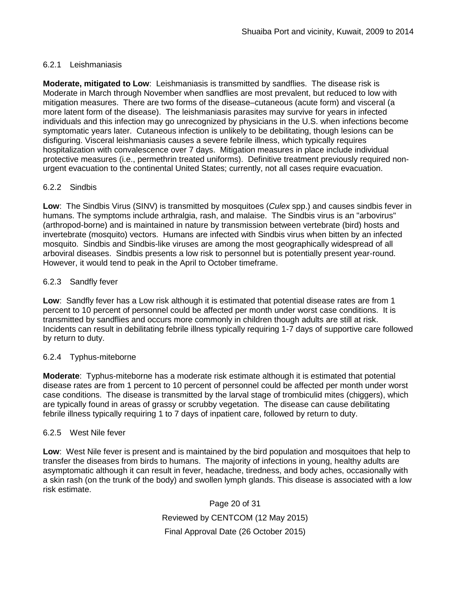## 6.2.1 Leishmaniasis

**Moderate, mitigated to Low**: Leishmaniasis is transmitted by sandflies. The disease risk is Moderate in March through November when sandflies are most prevalent, but reduced to low with mitigation measures. There are two forms of the disease–cutaneous (acute form) and visceral (a more latent form of the disease). The leishmaniasis parasites may survive for years in infected individuals and this infection may go unrecognized by physicians in the U.S. when infections become symptomatic years later. Cutaneous infection is unlikely to be debilitating, though lesions can be disfiguring. Visceral leishmaniasis causes a severe febrile illness, which typically requires hospitalization with convalescence over 7 days. Mitigation measures in place include individual protective measures (i.e., permethrin treated uniforms). Definitive treatment previously required nonurgent evacuation to the continental United States; currently, not all cases require evacuation.

## 6.2.2 Sindbis

**Low**: The Sindbis Virus (SINV) is transmitted by [mosquitoes](http://en.wikipedia.org/wiki/Mosquitoes) (*[Culex](http://en.wikipedia.org/wiki/Culex)* spp.) and causes sindbis fever in humans. The symptoms include [arthralgia,](http://en.wikipedia.org/wiki/Arthralgia) [rash,](http://en.wikipedia.org/wiki/Rash) and [malaise.](http://en.wikipedia.org/wiki/Malaise) The Sindbis virus is an ["arbovirus"](http://en.wikipedia.org/wiki/Arbovirus) (arthropod-borne) and is maintained in nature by transmission between vertebrate (bird) hosts and invertebrate (mosquito) vectors. Humans are infected with Sindbis virus when bitten by an infected mosquito. Sindbis and Sindbis-like viruses are among the most geographically widespread of all arboviral diseases. Sindbis presents a low risk to personnel but is potentially present year-round. However, it would tend to peak in the April to October timeframe.

## 6.2.3 Sandfly fever

**Low**: Sandfly fever has a Low risk although it is estimated that potential disease rates are from 1 percent to 10 percent of personnel could be affected per month under worst case conditions. It is transmitted by sandflies and occurs more commonly in children though adults are still at risk. Incidents can result in debilitating febrile illness typically requiring 1-7 days of supportive care followed by return to duty.

### 6.2.4 Typhus-miteborne

**Moderate**: Typhus-miteborne has a moderate risk estimate although it is estimated that potential disease rates are from 1 percent to 10 percent of personnel could be affected per month under worst case conditions. The disease is transmitted by the larval stage of trombiculid mites (chiggers), which are typically found in areas of grassy or scrubby vegetation. The disease can cause debilitating febrile illness typically requiring 1 to 7 days of inpatient care, followed by return to duty.

### 6.2.5 West Nile fever

**Low**: West Nile fever is present and is maintained by the bird population and mosquitoes that help to transfer the diseases from birds to humans. The majority of infections in young, healthy adults are asymptomatic although it can result in fever, headache, tiredness, and body aches, occasionally with a skin rash (on the trunk of the body) and swollen lymph glands. This disease is associated with a low risk estimate.

> Page 20 of 31 Reviewed by CENTCOM (12 May 2015) Final Approval Date (26 October 2015)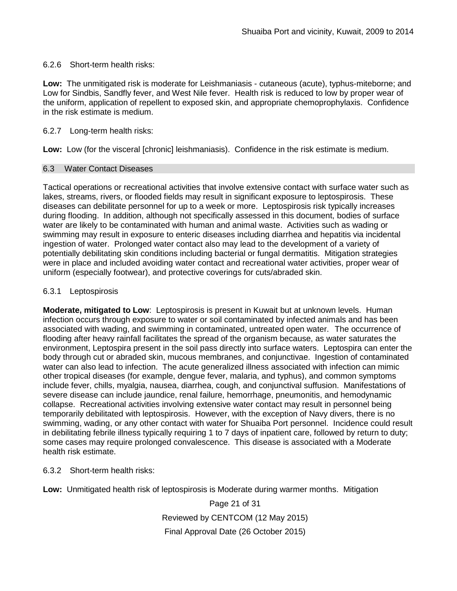### 6.2.6 Short-term health risks:

**Low:** The unmitigated risk is moderate for Leishmaniasis - cutaneous (acute), typhus-miteborne; and Low for Sindbis, Sandfly fever, and West Nile fever. Health risk is reduced to low by proper wear of the uniform, application of repellent to exposed skin, and appropriate chemoprophylaxis. Confidence in the risk estimate is medium.

### 6.2.7 Long-term health risks:

**Low:** Low (for the visceral [chronic] leishmaniasis). Confidence in the risk estimate is medium.

### 6.3 Water Contact Diseases

Tactical operations or recreational activities that involve extensive contact with surface water such as lakes, streams, rivers, or flooded fields may result in significant exposure to leptospirosis. These diseases can debilitate personnel for up to a week or more. Leptospirosis risk typically increases during flooding. In addition, although not specifically assessed in this document, bodies of surface water are likely to be contaminated with human and animal waste. Activities such as wading or swimming may result in exposure to enteric diseases including diarrhea and hepatitis via incidental ingestion of water. Prolonged water contact also may lead to the development of a variety of potentially debilitating skin conditions including bacterial or fungal dermatitis. Mitigation strategies were in place and included avoiding water contact and recreational water activities, proper wear of uniform (especially footwear), and protective coverings for cuts/abraded skin.

### 6.3.1 Leptospirosis

**Moderate, mitigated to Low**: Leptospirosis is present in Kuwait but at unknown levels. Human infection occurs through exposure to water or soil contaminated by infected animals and has been associated with wading, and swimming in contaminated, untreated open water.The occurrence of flooding after heavy rainfall facilitates the spread of the organism because, as water saturates the environment, Leptospira present in the soil pass directly into surface waters. Leptospira can enter the body through cut or abraded skin, mucous membranes, and conjunctivae. Ingestion of contaminated water can also lead to infection. The acute generalized illness associated with infection can mimic other tropical diseases (for example, dengue fever, malaria, and typhus), and common symptoms include fever, chills, myalgia, nausea, diarrhea, cough, and conjunctival suffusion. Manifestations of severe disease can include jaundice, renal failure, hemorrhage, pneumonitis, and hemodynamic collapse. Recreational activities involving extensive water contact may result in personnel being temporarily debilitated with leptospirosis. However, with the exception of Navy divers, there is no swimming, wading, or any other contact with water for Shuaiba Port personnel. Incidence could result in debilitating febrile illness typically requiring 1 to 7 days of inpatient care, followed by return to duty; some cases may require prolonged convalescence. This disease is associated with a Moderate health risk estimate.

6.3.2 Short-term health risks:

**Low:** Unmitigated health risk of leptospirosis is Moderate during warmer months. Mitigation

Page 21 of 31 Reviewed by CENTCOM (12 May 2015) Final Approval Date (26 October 2015)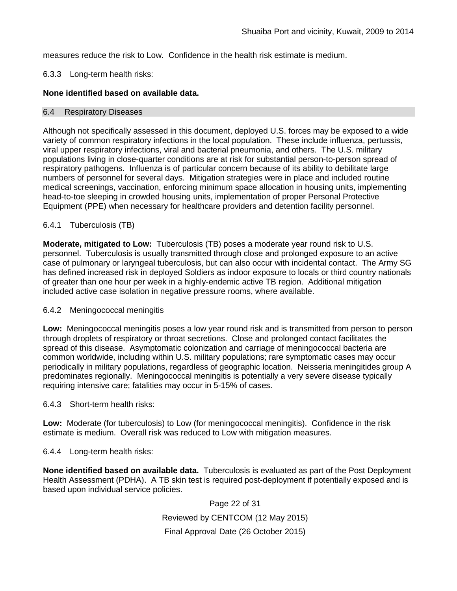measures reduce the risk to Low. Confidence in the health risk estimate is medium.

#### 6.3.3 Long-term health risks:

#### **None identified based on available data.**

#### 6.4 Respiratory Diseases

Although not specifically assessed in this document, deployed U.S. forces may be exposed to a wide variety of common respiratory infections in the local population. These include influenza, pertussis, viral upper respiratory infections, viral and bacterial pneumonia, and others. The U.S. military populations living in close-quarter conditions are at risk for substantial person-to-person spread of respiratory pathogens. Influenza is of particular concern because of its ability to debilitate large numbers of personnel for several days. Mitigation strategies were in place and included routine medical screenings, vaccination, enforcing minimum space allocation in housing units, implementing head-to-toe sleeping in crowded housing units, implementation of proper Personal Protective Equipment (PPE) when necessary for healthcare providers and detention facility personnel.

#### 6.4.1 Tuberculosis (TB)

**Moderate, mitigated to Low:** Tuberculosis (TB) poses a moderate year round risk to U.S. personnel. Tuberculosis is usually transmitted through close and prolonged exposure to an active case of pulmonary or laryngeal tuberculosis, but can also occur with incidental contact. The Army SG has defined increased risk in deployed Soldiers as indoor exposure to locals or third country nationals of greater than one hour per week in a highly-endemic active TB region. Additional mitigation included active case isolation in negative pressure rooms, where available.

#### 6.4.2 Meningococcal meningitis

**Low:** Meningococcal meningitis poses a low year round risk and is transmitted from person to person through droplets of respiratory or throat secretions. Close and prolonged contact facilitates the spread of this disease. Asymptomatic colonization and carriage of meningococcal bacteria are common worldwide, including within U.S. military populations; rare symptomatic cases may occur periodically in military populations, regardless of geographic location. Neisseria meningitides group A predominates regionally. Meningococcal meningitis is potentially a very severe disease typically requiring intensive care; fatalities may occur in 5-15% of cases.

6.4.3 Short-term health risks:

**Low:** Moderate (for tuberculosis) to Low (for meningococcal meningitis). Confidence in the risk estimate is medium. Overall risk was reduced to Low with mitigation measures.

### 6.4.4 Long-term health risks:

**None identified based on available data.** Tuberculosis is evaluated as part of the Post Deployment Health Assessment (PDHA). A TB skin test is required post-deployment if potentially exposed and is based upon individual service policies.

> Page 22 of 31 Reviewed by CENTCOM (12 May 2015) Final Approval Date (26 October 2015)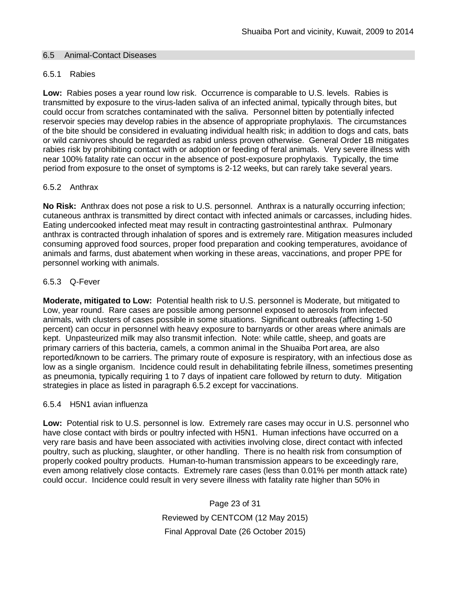#### 6.5 Animal-Contact Diseases

#### 6.5.1 Rabies

**Low:** Rabies poses a year round low risk. Occurrence is comparable to U.S. levels. Rabies is transmitted by exposure to the virus-laden saliva of an infected animal, typically through bites, but could occur from scratches contaminated with the saliva. Personnel bitten by potentially infected reservoir species may develop rabies in the absence of appropriate prophylaxis. The circumstances of the bite should be considered in evaluating individual health risk; in addition to dogs and cats, bats or wild carnivores should be regarded as rabid unless proven otherwise. General Order 1B mitigates rabies risk by prohibiting contact with or adoption or feeding of feral animals. Very severe illness with near 100% fatality rate can occur in the absence of post-exposure prophylaxis. Typically, the time period from exposure to the onset of symptoms is 2-12 weeks, but can rarely take several years.

#### 6.5.2 Anthrax

**No Risk:** Anthrax does not pose a risk to U.S. personnel. Anthrax is a naturally occurring infection; cutaneous anthrax is transmitted by direct contact with infected animals or carcasses, including hides. Eating undercooked infected meat may result in contracting gastrointestinal anthrax. Pulmonary anthrax is contracted through inhalation of spores and is extremely rare. Mitigation measures included consuming approved food sources, proper food preparation and cooking temperatures, avoidance of animals and farms, dust abatement when working in these areas, vaccinations, and proper PPE for personnel working with animals.

### 6.5.3 Q-Fever

**Moderate, mitigated to Low:** Potential health risk to U.S. personnel is Moderate, but mitigated to Low, year round. Rare cases are possible among personnel exposed to aerosols from infected animals, with clusters of cases possible in some situations. Significant outbreaks (affecting 1-50 percent) can occur in personnel with heavy exposure to barnyards or other areas where animals are kept. Unpasteurized milk may also transmit infection. Note: while cattle, sheep, and goats are primary carriers of this bacteria, camels, a common animal in the Shuaiba Port area, are also reported/known to be carriers. The primary route of exposure is respiratory, with an infectious dose as low as a single organism. Incidence could result in dehabilitating febrile illness, sometimes presenting as pneumonia, typically requiring 1 to 7 days of inpatient care followed by return to duty. Mitigation strategies in place as listed in paragraph 6.5.2 except for vaccinations.

#### 6.5.4 H5N1 avian influenza

**Low:** Potential risk to U.S. personnel is low. Extremely rare cases may occur in U.S. personnel who have close contact with birds or poultry infected with H5N1. Human infections have occurred on a very rare basis and have been associated with activities involving close, direct contact with infected poultry, such as plucking, slaughter, or other handling. There is no health risk from consumption of properly cooked poultry products. Human-to-human transmission appears to be exceedingly rare, even among relatively close contacts. Extremely rare cases (less than 0.01% per month attack rate) could occur. Incidence could result in very severe illness with fatality rate higher than 50% in

> Page 23 of 31 Reviewed by CENTCOM (12 May 2015) Final Approval Date (26 October 2015)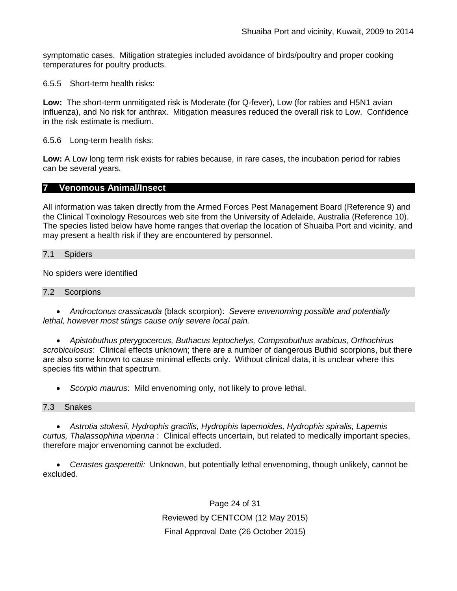symptomatic cases. Mitigation strategies included avoidance of birds/poultry and proper cooking temperatures for poultry products.

6.5.5 Short-term health risks:

**Low:** The short-term unmitigated risk is Moderate (for Q-fever), Low (for rabies and H5N1 avian influenza), and No risk for anthrax.Mitigation measures reduced the overall risk to Low. Confidence in the risk estimate is medium.

6.5.6 Long-term health risks:

**Low:** A Low long term risk exists for rabies because, in rare cases, the incubation period for rabies can be several years.

### **7 Venomous Animal/Insect**

All information was taken directly from the Armed Forces Pest Management Board (Reference 9) and the Clinical Toxinology Resources web site from the University of Adelaide, Australia (Reference 10). The species listed below have home ranges that overlap the location of Shuaiba Port and vicinity, and may present a health risk if they are encountered by personnel.

#### 7.1 Spiders

No spiders were identified

#### 7.2 Scorpions

• *Androctonus crassicauda* (black scorpion): *Severe envenoming possible and potentially lethal, however most stings cause only severe local pain.* 

• *Apistobuthus pterygocercus, Buthacus leptochelys, Compsobuthus arabicus, Orthochirus scrobiculosus*: Clinical effects unknown; there are a number of dangerous Buthid scorpions, but there are also some known to cause minimal effects only. Without clinical data, it is unclear where this species fits within that spectrum.

• *Scorpio maurus*: Mild envenoming only, not likely to prove lethal.

#### 7.3 Snakes

• *Astrotia stokesii, Hydrophis gracilis, Hydrophis lapemoides, Hydrophis spiralis, Lapemis curtus, Thalassophina viperina* : Clinical effects uncertain, but related to medically important species, therefore major envenoming cannot be excluded.

• *Cerastes gasperettii:* Unknown, but potentially lethal envenoming, though unlikely, cannot be excluded.

> Page 24 of 31 Reviewed by CENTCOM (12 May 2015) Final Approval Date (26 October 2015)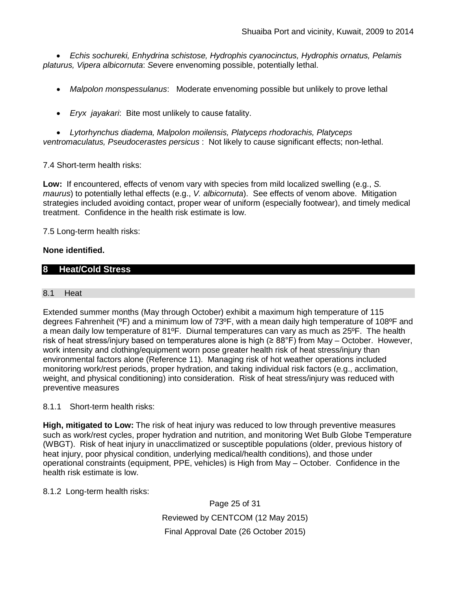• *Echis sochureki, Enhydrina schistose, Hydrophis cyanocinctus, Hydrophis ornatus, Pelamis platurus, Vipera albicornuta*: *S*evere envenoming possible, potentially lethal.

- *Malpolon monspessulanus*: Moderate envenoming possible but unlikely to prove lethal
- *Eryx jayakari*: Bite most unlikely to cause fatality.

• *Lytorhynchus diadema, Malpolon moilensis, Platyceps rhodorachis, Platyceps ventromaculatus, Pseudocerastes persicus* : Not likely to cause significant effects; non-lethal.

7.4 Short-term health risks:

**Low:** If encountered, effects of venom vary with species from mild localized swelling (e.g., *S. maurus*) to potentially lethal effects (e.g., *V. albicornuta*). See effects of venom above. Mitigation strategies included avoiding contact, proper wear of uniform (especially footwear), and timely medical treatment. Confidence in the health risk estimate is low.

7.5 Long-term health risks:

### **None identified.**

## **8 Heat/Cold Stress**

#### 8.1 Heat

Extended summer months (May through October) exhibit a maximum high temperature of 115 degrees Fahrenheit (ºF) and a minimum low of 73ºF, with a mean daily high temperature of 108ºF and a mean daily low temperature of 81ºF. Diurnal temperatures can vary as much as 25ºF. The health risk of heat stress/injury based on temperatures alone is high ( $\geq 88^{\circ}$ F) from May – October. However, work intensity and clothing/equipment worn pose greater health risk of heat stress/injury than environmental factors alone (Reference 11). Managing risk of hot weather operations included monitoring work/rest periods, proper hydration, and taking individual risk factors (e.g., acclimation, weight, and physical conditioning) into consideration. Risk of heat stress/injury was reduced with preventive measures

#### 8.1.1 Short-term health risks:

**High, mitigated to Low:** The risk of heat injury was reduced to low through preventive measures such as work/rest cycles, proper hydration and nutrition, and monitoring Wet Bulb Globe Temperature (WBGT). Risk of heat injury in unacclimatized or susceptible populations (older, previous history of heat injury, poor physical condition, underlying medical/health conditions), and those under operational constraints (equipment, PPE, vehicles) is High from May – October. Confidence in the health risk estimate is low.

### 8.1.2 Long-term health risks:

Page 25 of 31 Reviewed by CENTCOM (12 May 2015) Final Approval Date (26 October 2015)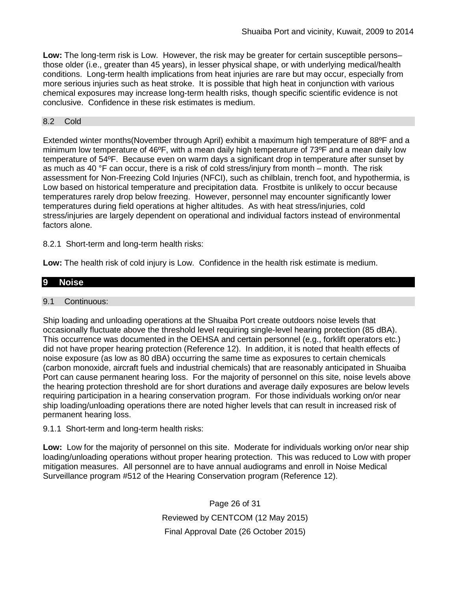**Low:** The long-term risk is Low. However, the risk may be greater for certain susceptible persons– those older (i.e., greater than 45 years), in lesser physical shape, or with underlying medical/health conditions. Long-term health implications from heat injuries are rare but may occur, especially from more serious injuries such as heat stroke. It is possible that high heat in conjunction with various chemical exposures may increase long-term health risks, though specific scientific evidence is not conclusive. Confidence in these risk estimates is medium.

## 8.2 Cold

Extended winter months(November through April) exhibit a maximum high temperature of 88ºF and a minimum low temperature of 46ºF, with a mean daily high temperature of 73ºF and a mean daily low temperature of 54ºF. Because even on warm days a significant drop in temperature after sunset by as much as 40 °F can occur, there is a risk of cold stress/injury from month – month. The risk assessment for Non-Freezing Cold Injuries (NFCI), such as chilblain, trench foot, and hypothermia, is Low based on historical temperature and precipitation data. Frostbite is unlikely to occur because temperatures rarely drop below freezing. However, personnel may encounter significantly lower temperatures during field operations at higher altitudes. As with heat stress/injuries, cold stress/injuries are largely dependent on operational and individual factors instead of environmental factors alone.

8.2.1 Short-term and long-term health risks:

**Low:** The health risk of cold injury is Low. Confidence in the health risk estimate is medium.

# **9 Noise**

### 9.1 Continuous:

Ship loading and unloading operations at the Shuaiba Port create outdoors noise levels that occasionally fluctuate above the threshold level requiring single-level hearing protection (85 dBA). This occurrence was documented in the OEHSA and certain personnel (e.g., forklift operators etc.) did not have proper hearing protection (Reference 12). In addition, it is noted that health effects of noise exposure (as low as 80 dBA) occurring the same time as exposures to certain chemicals (carbon monoxide, aircraft fuels and industrial chemicals) that are reasonably anticipated in Shuaiba Port can cause permanent hearing loss. For the majority of personnel on this site, noise levels above the hearing protection threshold are for short durations and average daily exposures are below levels requiring participation in a hearing conservation program. For those individuals working on/or near ship loading/unloading operations there are noted higher levels that can result in increased risk of permanent hearing loss.

9.1.1 Short-term and long-term health risks:

**Low:** Low for the majority of personnel on this site. Moderate for individuals working on/or near ship loading/unloading operations without proper hearing protection. This was reduced to Low with proper mitigation measures. All personnel are to have annual audiograms and enroll in Noise Medical Surveillance program #512 of the Hearing Conservation program (Reference 12).

> Page 26 of 31 Reviewed by CENTCOM (12 May 2015) Final Approval Date (26 October 2015)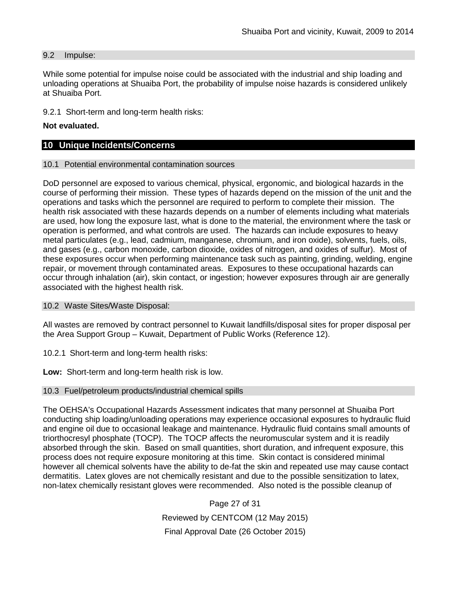#### 9.2 Impulse:

While some potential for impulse noise could be associated with the industrial and ship loading and unloading operations at Shuaiba Port, the probability of impulse noise hazards is considered unlikely at Shuaiba Port.

9.2.1 Short-term and long-term health risks:

#### **Not evaluated.**

## **10 Unique Incidents/Concerns**

#### 10.1 Potential environmental contamination sources

DoD personnel are exposed to various chemical, physical, ergonomic, and biological hazards in the course of performing their mission. These types of hazards depend on the mission of the unit and the operations and tasks which the personnel are required to perform to complete their mission. The health risk associated with these hazards depends on a number of elements including what materials are used, how long the exposure last, what is done to the material, the environment where the task or operation is performed, and what controls are used. The hazards can include exposures to heavy metal particulates (e.g., lead, cadmium, manganese, chromium, and iron oxide), solvents, fuels, oils, and gases (e.g., carbon monoxide, carbon dioxide, oxides of nitrogen, and oxides of sulfur). Most of these exposures occur when performing maintenance task such as painting, grinding, welding, engine repair, or movement through contaminated areas. Exposures to these occupational hazards can occur through inhalation (air), skin contact, or ingestion; however exposures through air are generally associated with the highest health risk.

10.2 Waste Sites/Waste Disposal:

All wastes are removed by contract personnel to Kuwait landfills/disposal sites for proper disposal per the Area Support Group – Kuwait, Department of Public Works (Reference 12).

10.2.1 Short-term and long-term health risks:

**Low:** Short-term and long-term health risk is low.

#### 10.3 Fuel/petroleum products/industrial chemical spills

The OEHSA's Occupational Hazards Assessment indicates that many personnel at Shuaiba Port conducting ship loading/unloading operations may experience occasional exposures to hydraulic fluid and engine oil due to occasional leakage and maintenance. Hydraulic fluid contains small amounts of triorthocresyl phosphate (TOCP). The TOCP affects the neuromuscular system and it is readily absorbed through the skin. Based on small quantities, short duration, and infrequent exposure, this process does not require exposure monitoring at this time. Skin contact is considered minimal however all chemical solvents have the ability to de-fat the skin and repeated use may cause contact dermatitis. Latex gloves are not chemically resistant and due to the possible sensitization to latex, non-latex chemically resistant gloves were recommended. Also noted is the possible cleanup of

> Page 27 of 31 Reviewed by CENTCOM (12 May 2015) Final Approval Date (26 October 2015)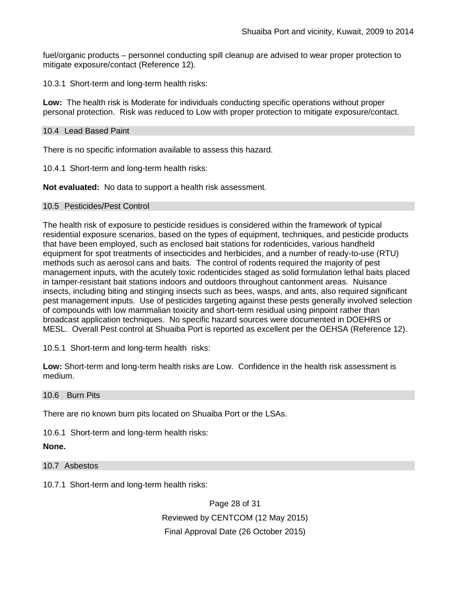fuel/organic products – personnel conducting spill cleanup are advised to wear proper protection to mitigate exposure/contact (Reference 12).

10.3.1 Short-term and long-term health risks:

**Low:** The health risk is Moderate for individuals conducting specific operations without proper personal protection. Risk was reduced to Low with proper protection to mitigate exposure/contact.

### 10.4 Lead Based Paint

There is no specific information available to assess this hazard.

10.4.1 Short-term and long-term health risks:

**Not evaluated:** No data to support a health risk assessment.

#### 10.5 Pesticides/Pest Control

The health risk of exposure to pesticide residues is considered within the framework of typical residential exposure scenarios, based on the types of equipment, techniques, and pesticide products that have been employed, such as enclosed bait stations for rodenticides, various handheld equipment for spot treatments of insecticides and herbicides, and a number of ready-to-use (RTU) methods such as aerosol cans and baits. The control of rodents required the majority of pest management inputs, with the acutely toxic rodenticides staged as solid formulation lethal baits placed in tamper-resistant bait stations indoors and outdoors throughout cantonment areas. Nuisance insects, including biting and stinging insects such as bees, wasps, and ants, also required significant pest management inputs. Use of pesticides targeting against these pests generally involved selection of compounds with low mammalian toxicity and short-term residual using pinpoint rather than broadcast application techniques. No specific hazard sources were documented in DOEHRS or MESL. Overall Pest control at Shuaiba Port is reported as excellent per the OEHSA (Reference 12).

10.5.1 Short-term and long-term health risks:

**Low:** Short-term and long-term health risks are Low. Confidence in the health risk assessment is medium.

10.6 Burn Pits

There are no known burn pits located on Shuaiba Port or the LSAs.

10.6.1 Short-term and long-term health risks:

#### **None.**

10.7 Asbestos

10.7.1 Short-term and long-term health risks:

Page 28 of 31 Reviewed by CENTCOM (12 May 2015) Final Approval Date (26 October 2015)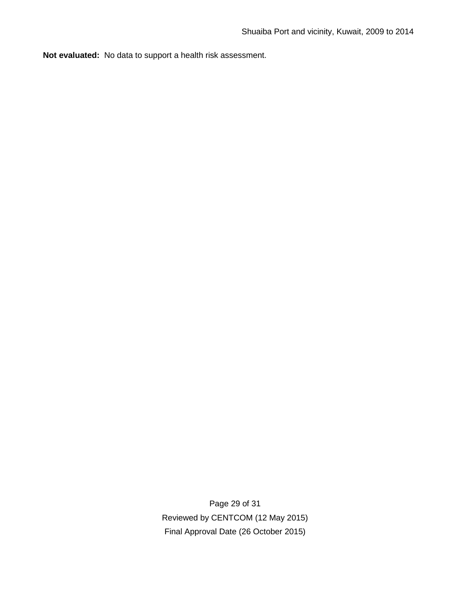**Not evaluated:** No data to support a health risk assessment.

Page 29 of 31 Reviewed by CENTCOM (12 May 2015) Final Approval Date (26 October 2015)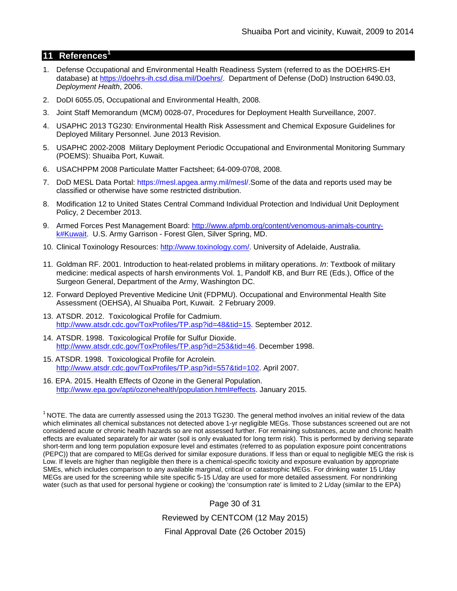### **11 References<sup>1</sup>**

- 1. Defense Occupational and Environmental Health Readiness System (referred to as the DOEHRS-EH database) at [https://doehrs-ih.csd.disa.mil/Doehrs/.](https://doehrs-ih.csd.disa.mil/Doehrs/) Department of Defense (DoD) Instruction 6490.03, *Deployment Health*, 2006.
- 2. DoDI 6055.05, Occupational and Environmental Health, 2008.
- 3. Joint Staff Memorandum (MCM) 0028-07, Procedures for Deployment Health Surveillance, 2007.
- 4. USAPHC 2013 TG230: Environmental Health Risk Assessment and Chemical Exposure Guidelines for Deployed Military Personnel. June 2013 Revision.
- 5. USAPHC 2002-2008 Military Deployment Periodic Occupational and Environmental Monitoring Summary (POEMS): Shuaiba Port, Kuwait.
- 6. USACHPPM 2008 Particulate Matter Factsheet; 64-009-0708, 2008.
- 7. DoD MESL Data Portal: https://mesl.apgea.army.mil/mesl/.Some of the data and reports used may be classified or otherwise have some restricted distribution.
- 8. Modification 12 to United States Central Command Individual Protection and Individual Unit Deployment Policy, 2 December 2013.
- 9. Armed Forces Pest Management Board: [http://www.afpmb.org/content/venomous-animals-country](http://www.afpmb.org/content/venomous-animals-country-k#Kuwait)[k#Kuwait.](http://www.afpmb.org/content/venomous-animals-country-k#Kuwait) U.S. Army Garrison - Forest Glen, Silver Spring, MD.
- 10. Clinical Toxinology Resources: [http://www.toxinology.com/.](http://www.toxinology.com/) University of Adelaide, Australia.
- 11. Goldman RF. 2001. Introduction to heat-related problems in military operations. *In*: Textbook of military medicine: medical aspects of harsh environments Vol. 1, Pandolf KB, and Burr RE (Eds.), Office of the Surgeon General, Department of the Army, Washington DC.
- 12. Forward Deployed Preventive Medicine Unit (FDPMU). Occupational and Environmental Health Site Assessment (OEHSA), Al Shuaiba Port, Kuwait. 2 February 2009.
- 13. ATSDR. 2012. Toxicological Profile for Cadmium. [http://www.atsdr.cdc.gov/ToxProfiles/TP.asp?id=48&tid=15.](http://www.atsdr.cdc.gov/ToxProfiles/TP.asp?id=48&tid=15) September 2012.
- 14. ATSDR. 1998. Toxicological Profile for Sulfur Dioxide. [http://www.atsdr.cdc.gov/ToxProfiles/TP.asp?id=253&tid=46.](http://www.atsdr.cdc.gov/ToxProfiles/TP.asp?id=253&tid=46) December 1998.
- 15. ATSDR. 1998. Toxicological Profile for Acrolein. [http://www.atsdr.cdc.gov/ToxProfiles/TP.asp?id=557&tid=102.](http://www.atsdr.cdc.gov/ToxProfiles/TP.asp?id=557&tid=102) April 2007.
- 16. EPA. 2015. Health Effects of Ozone in the General Population. [http://www.epa.gov/apti/ozonehealth/population.html#effects.](http://www.epa.gov/apti/ozonehealth/population.html#effects) January 2015.

 $1$  NOTE. The data are currently assessed using the 2013 TG230. The general method involves an initial review of the data which eliminates all chemical substances not detected above 1-yr negligible MEGs. Those substances screened out are not considered acute or chronic health hazards so are not assessed further. For remaining substances, acute and chronic health effects are evaluated separately for air water (soil is only evaluated for long term risk). This is performed by deriving separate short-term and long term population exposure level and estimates (referred to as population exposure point concentrations (PEPC)) that are compared to MEGs derived for similar exposure durations. If less than or equal to negligible MEG the risk is Low. If levels are higher than negligible then there is a chemical-specific toxicity and exposure evaluation by appropriate SMEs, which includes comparison to any available marginal, critical or catastrophic MEGs. For drinking water 15 L/day MEGs are used for the screening while site specific 5-15 L/day are used for more detailed assessment. For nondrinking water (such as that used for personal hygiene or cooking) the 'consumption rate' is limited to 2 L/day (similar to the EPA)

> Page 30 of 31 Reviewed by CENTCOM (12 May 2015) Final Approval Date (26 October 2015)